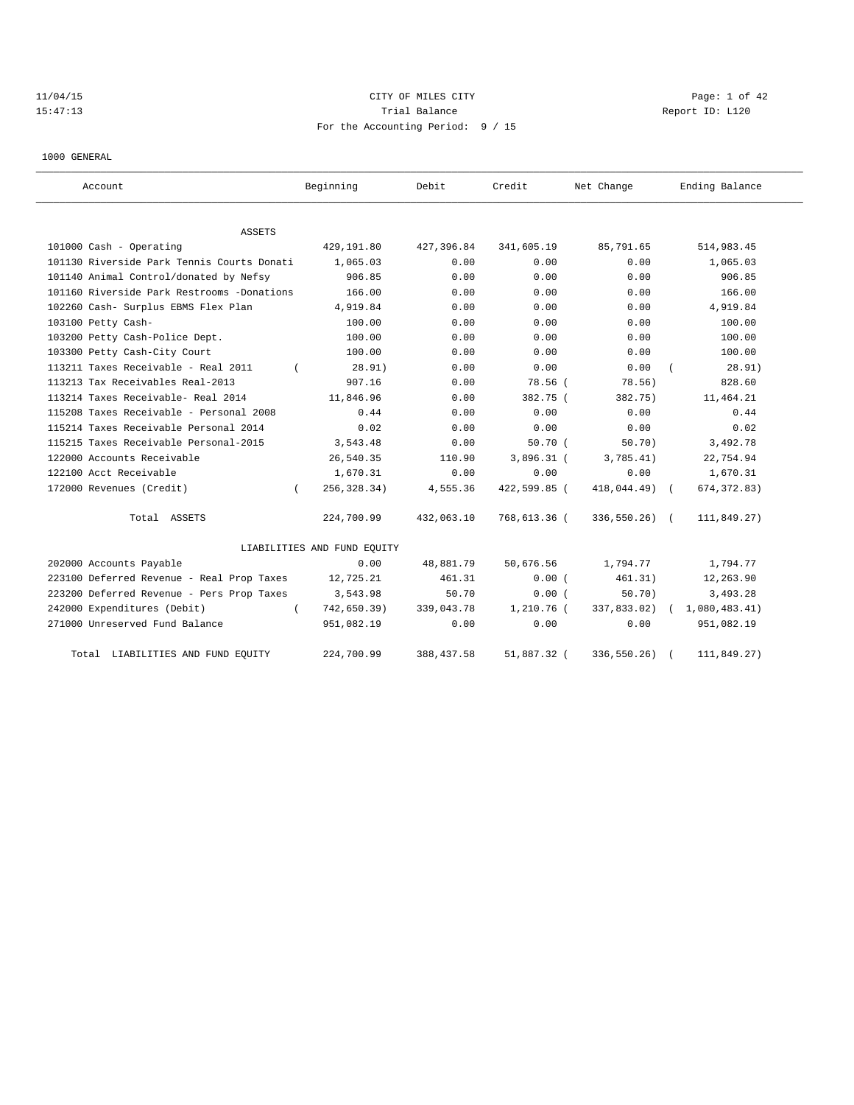# 11/04/15 CITY OF MILES CITY CHARGES CITY CITY CONTROLLER Page: 1 of 42 15:47:13 **Trial Balance Constanting Trial Balance Constanting Report ID:** L120 For the Accounting Period: 9 / 15

1000 GENERAL

| Account                                    | Beginning                   | Debit       | Credit       | Net Change    | Ending Balance |
|--------------------------------------------|-----------------------------|-------------|--------------|---------------|----------------|
| ASSETS                                     |                             |             |              |               |                |
| 101000 Cash - Operating                    | 429,191.80                  | 427,396.84  | 341,605.19   | 85,791.65     | 514,983.45     |
| 101130 Riverside Park Tennis Courts Donati | 1,065.03                    | 0.00        | 0.00         | 0.00          | 1,065.03       |
| 101140 Animal Control/donated by Nefsy     | 906.85                      | 0.00        | 0.00         | 0.00          | 906.85         |
| 101160 Riverside Park Restrooms -Donations | 166.00                      | 0.00        | 0.00         | 0.00          | 166.00         |
| 102260 Cash- Surplus EBMS Flex Plan        | 4,919.84                    | 0.00        | 0.00         | 0.00          | 4,919.84       |
| 103100 Petty Cash-                         | 100.00                      | 0.00        | 0.00         | 0.00          | 100.00         |
| 103200 Petty Cash-Police Dept.             | 100.00                      | 0.00        | 0.00         | 0.00          | 100.00         |
| 103300 Petty Cash-City Court               | 100.00                      | 0.00        | 0.00         | 0.00          | 100.00         |
| 113211 Taxes Receivable - Real 2011        | 28.91)                      | 0.00        | 0.00         | 0.00          | 28.91)         |
| 113213 Tax Receivables Real-2013           | 907.16                      | 0.00        | 78.56 (      | 78.56)        | 828.60         |
| 113214 Taxes Receivable- Real 2014         | 11,846.96                   | 0.00        | 382.75 (     | 382.75)       | 11,464.21      |
| 115208 Taxes Receivable - Personal 2008    | 0.44                        | 0.00        | 0.00         | 0.00          | 0.44           |
| 115214 Taxes Receivable Personal 2014      | 0.02                        | 0.00        | 0.00         | 0.00          | 0.02           |
| 115215 Taxes Receivable Personal-2015      | 3,543.48                    | 0.00        | 50.70(       | 50.70)        | 3,492.78       |
| 122000 Accounts Receivable                 | 26,540.35                   | 110.90      | 3,896.31 (   | 3,785.41)     | 22,754.94      |
| 122100 Acct Receivable                     | 1,670.31                    | 0.00        | 0.00         | 0.00          | 1,670.31       |
| 172000 Revenues (Credit)<br>$\left($       | 256, 328.34)                | 4,555.36    | 422,599.85 ( | 418,044.49) ( | 674, 372.83)   |
| Total ASSETS                               | 224,700.99                  | 432,063.10  | 768,613.36 ( | 336,550.26) ( | 111,849.27)    |
|                                            | LIABILITIES AND FUND EQUITY |             |              |               |                |
| 202000 Accounts Payable                    | 0.00                        | 48,881.79   | 50,676.56    | 1,794.77      | 1,794.77       |
| 223100 Deferred Revenue - Real Prop Taxes  | 12,725.21                   | 461.31      | 0.00(        | 461.31)       | 12,263.90      |
| 223200 Deferred Revenue - Pers Prop Taxes  | 3,543.98                    | 50.70       | 0.00(        | 50.70)        | 3,493.28       |
| 242000 Expenditures (Debit)                | 742,650.39)                 | 339,043.78  | $1,210.76$ ( | 337,833.02)   | 1,080,483.41)  |
| 271000 Unreserved Fund Balance             | 951,082.19                  | 0.00        | 0.00         | 0.00          | 951,082.19     |
| LIABILITIES AND FUND EQUITY<br>Total       | 224,700.99                  | 388, 437.58 | 51,887.32 (  | 336,550.26)   | 111,849.27)    |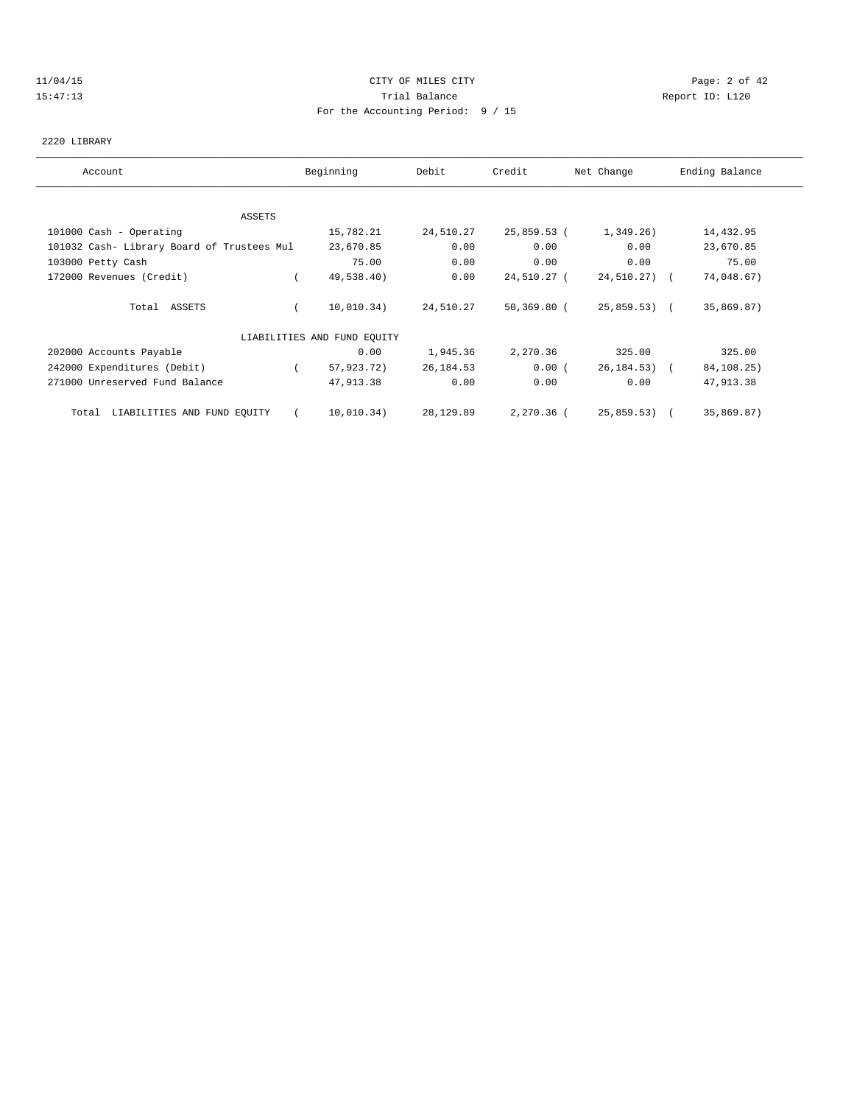## 11/04/15 CITY OF MILES CITY Page: 2 of 42 15:47:13 Trial Balance Report ID: L120 For the Accounting Period: 9 / 15

### 2220 LIBRARY

| Account                                    | Beginning                   | Debit     | Credit      | Net Change   | Ending Balance |
|--------------------------------------------|-----------------------------|-----------|-------------|--------------|----------------|
|                                            |                             |           |             |              |                |
| ASSETS                                     |                             |           |             |              |                |
| 101000 Cash - Operating                    | 15,782.21                   | 24,510.27 | 25,859.53 ( | 1,349.26)    | 14,432.95      |
| 101032 Cash- Library Board of Trustees Mul | 23,670.85                   | 0.00      | 0.00        | 0.00         | 23,670.85      |
| 103000 Petty Cash                          | 75.00                       | 0.00      | 0.00        | 0.00         | 75.00          |
| 172000 Revenues (Credit)                   | 49,538.40)                  | 0.00      | 24,510.27 ( | 24,510.27) ( | 74,048.67)     |
| Total ASSETS                               | 10,010.34)                  | 24,510.27 | 50,369.80 ( | 25,859.53) ( | 35,869.87)     |
|                                            | LIABILITIES AND FUND EQUITY |           |             |              |                |
| 202000 Accounts Payable                    | 0.00                        | 1,945.36  | 2,270.36    | 325.00       | 325.00         |
| 242000 Expenditures (Debit)                | 57,923.72)                  | 26,184.53 | 0.00(       | 26,184.53) ( | 84,108.25)     |
| 271000 Unreserved Fund Balance             | 47,913.38                   | 0.00      | 0.00        | 0.00         | 47,913.38      |
| LIABILITIES AND FUND EQUITY<br>Total       | 10,010.34)                  | 28,129.89 | 2,270.36 (  | 25,859.53) ( | 35,869.87)     |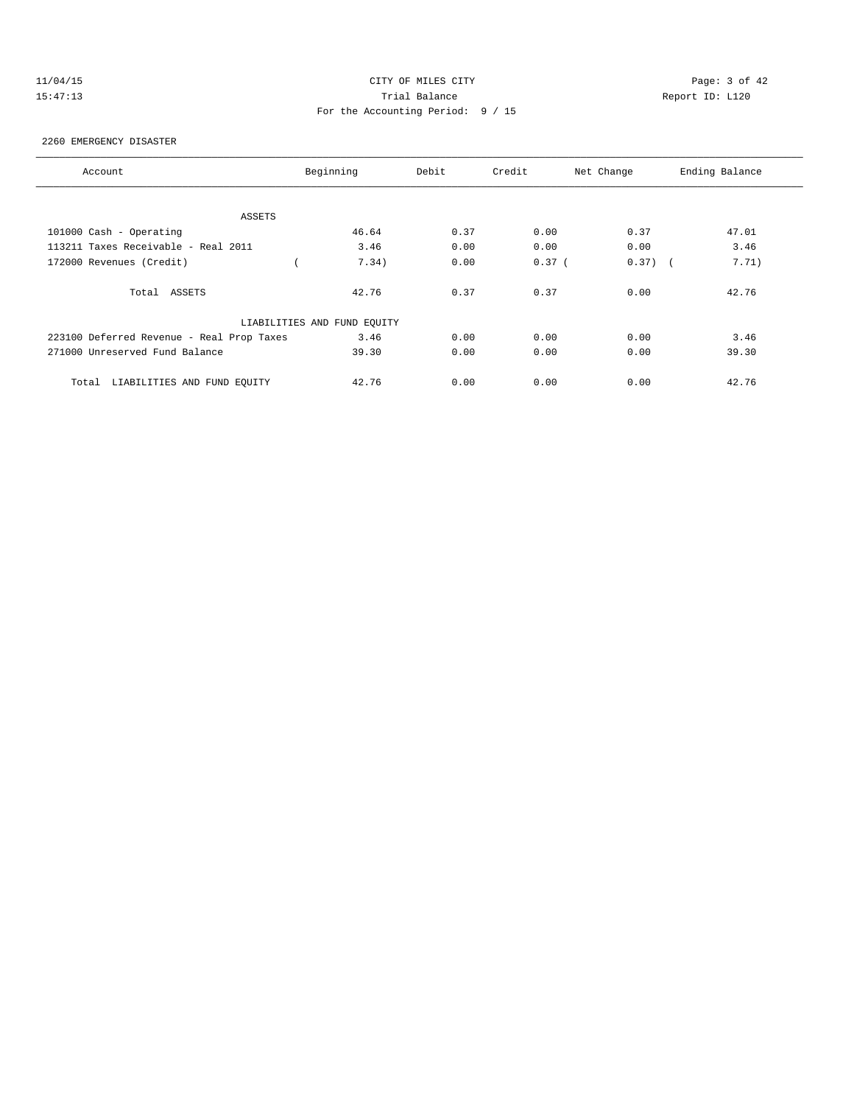# 11/04/15 CITY OF MILES CITY Page: 3 of 42 15:47:13 Trial Balance Report ID: L120 For the Accounting Period: 9 / 15

#### 2260 EMERGENCY DISASTER

| Account                                   | Beginning                   | Debit | Credit   | Net Change | Ending Balance |
|-------------------------------------------|-----------------------------|-------|----------|------------|----------------|
|                                           |                             |       |          |            |                |
| ASSETS                                    |                             |       |          |            |                |
| 101000 Cash - Operating                   | 46.64                       | 0.37  | 0.00     | 0.37       | 47.01          |
| 113211 Taxes Receivable - Real 2011       | 3.46                        | 0.00  | 0.00     | 0.00       | 3.46           |
| 172000 Revenues (Credit)                  | 7.34)                       | 0.00  | $0.37$ ( | $0.37)$ (  | 7.71)          |
| Total ASSETS                              | 42.76                       | 0.37  | 0.37     | 0.00       | 42.76          |
|                                           | LIABILITIES AND FUND EQUITY |       |          |            |                |
| 223100 Deferred Revenue - Real Prop Taxes | 3.46                        | 0.00  | 0.00     | 0.00       | 3.46           |
| 271000 Unreserved Fund Balance            | 39.30                       | 0.00  | 0.00     | 0.00       | 39.30          |
| LIABILITIES AND FUND EOUITY<br>Total      | 42.76                       | 0.00  | 0.00     | 0.00       | 42.76          |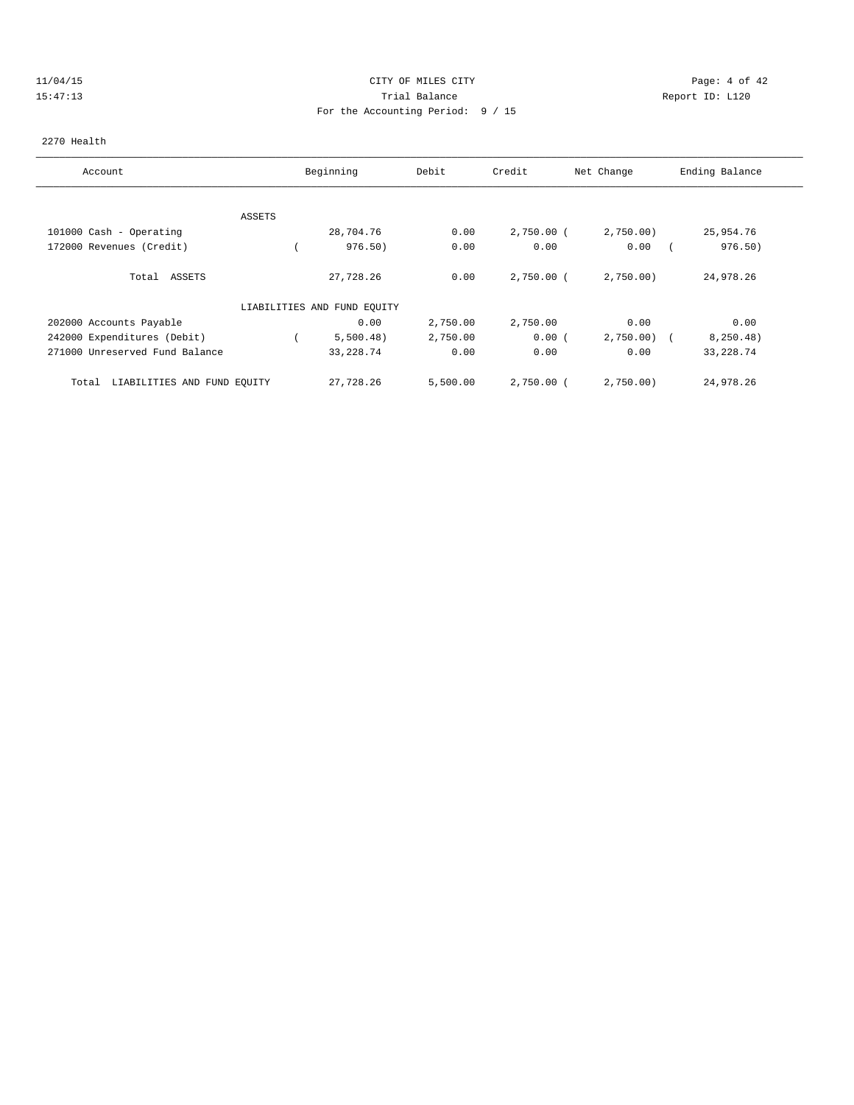## 11/04/15 CITY OF MILES CITY Page: 4 of 42 15:47:13 Trial Balance Report ID: L120 For the Accounting Period: 9 / 15

### 2270 Health

| Account                              |        | Beginning                   | Debit    | Credit       | Net Change | Ending Balance |
|--------------------------------------|--------|-----------------------------|----------|--------------|------------|----------------|
|                                      |        |                             |          |              |            |                |
|                                      | ASSETS |                             |          |              |            |                |
| 101000 Cash - Operating              |        | 28,704.76                   | 0.00     | $2,750.00$ ( | 2,750.00)  | 25,954.76      |
| 172000 Revenues (Credit)             |        | 976.50)                     | 0.00     | 0.00         | 0.00       | 976.50)        |
| Total ASSETS                         |        | 27,728.26                   | 0.00     | $2,750.00$ ( | 2,750.00   | 24,978.26      |
|                                      |        | LIABILITIES AND FUND EQUITY |          |              |            |                |
| 202000 Accounts Payable              |        | 0.00                        | 2,750.00 | 2,750.00     | 0.00       | 0.00           |
| 242000 Expenditures (Debit)          |        | 5,500.48)                   | 2,750.00 | 0.00(        | 2,750.00   | 8, 250.48)     |
| 271000 Unreserved Fund Balance       |        | 33, 228.74                  | 0.00     | 0.00         | 0.00       | 33, 228.74     |
| LIABILITIES AND FUND EQUITY<br>Total |        | 27,728.26                   | 5,500.00 | $2,750.00$ ( | 2,750.00)  | 24,978.26      |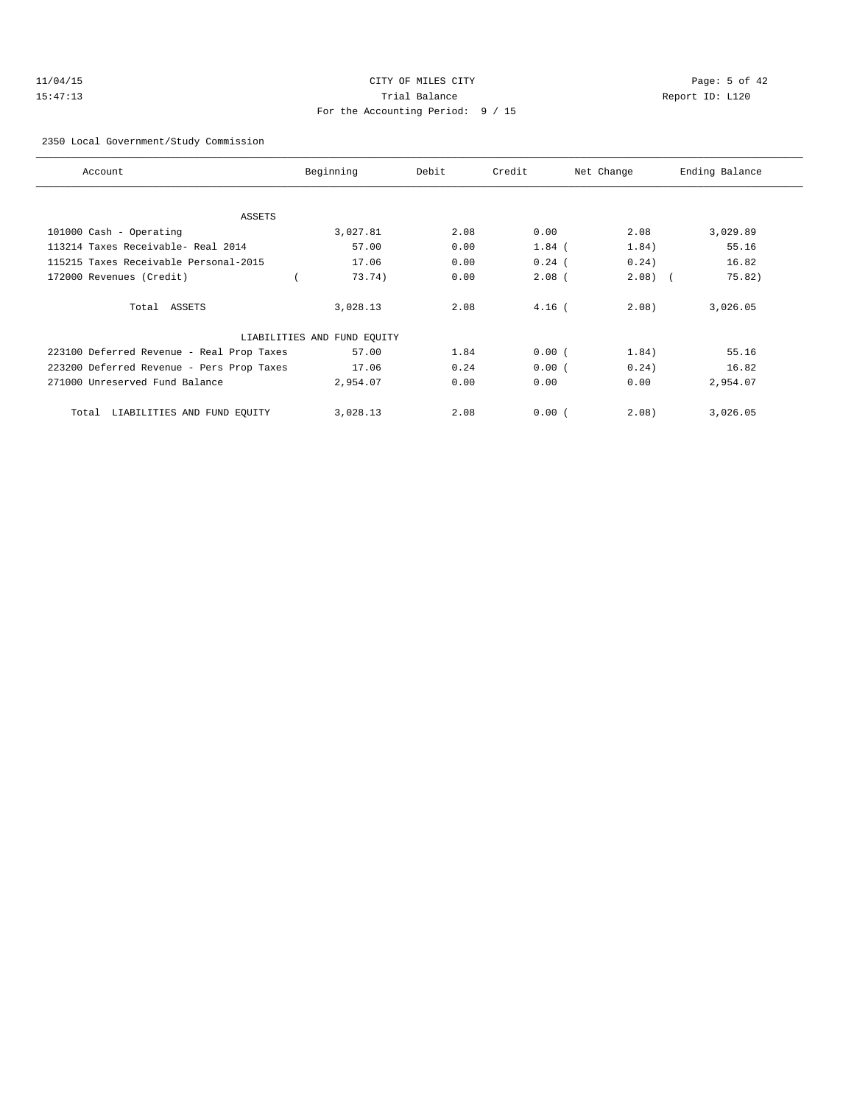# 11/04/15 CITY OF MILES CITY Page: 5 of 42 15:47:13 Trial Balance Report ID: L120 For the Accounting Period: 9 / 15

### 2350 Local Government/Study Commission

| Account                                   | Beginning                   | Debit | Credit   | Net Change | Ending Balance |
|-------------------------------------------|-----------------------------|-------|----------|------------|----------------|
|                                           |                             |       |          |            |                |
| ASSETS                                    |                             |       |          |            |                |
| 101000 Cash - Operating                   | 3,027.81                    | 2.08  | 0.00     | 2.08       | 3,029.89       |
| 113214 Taxes Receivable- Real 2014        | 57.00                       | 0.00  | $1.84$ ( | 1.84)      | 55.16          |
| 115215 Taxes Receivable Personal-2015     | 17.06                       | 0.00  | $0.24$ ( | 0.24)      | 16.82          |
| 172000 Revenues (Credit)                  | 73.74)                      | 0.00  | $2.08$ ( | $2.08$ (   | 75.82)         |
| Total ASSETS                              | 3,028.13                    | 2.08  | $4.16$ ( | 2.08       | 3,026.05       |
|                                           | LIABILITIES AND FUND EQUITY |       |          |            |                |
| 223100 Deferred Revenue - Real Prop Taxes | 57.00                       | 1.84  | 0.00(    | 1.84)      | 55.16          |
| 223200 Deferred Revenue - Pers Prop Taxes | 17.06                       | 0.24  | 0.00(    | 0.24)      | 16.82          |
| 271000 Unreserved Fund Balance            | 2,954.07                    | 0.00  | 0.00     | 0.00       | 2,954.07       |
| LIABILITIES AND FUND EOUITY<br>Total      | 3,028.13                    | 2.08  | 0.00(    | 2.08)      | 3,026.05       |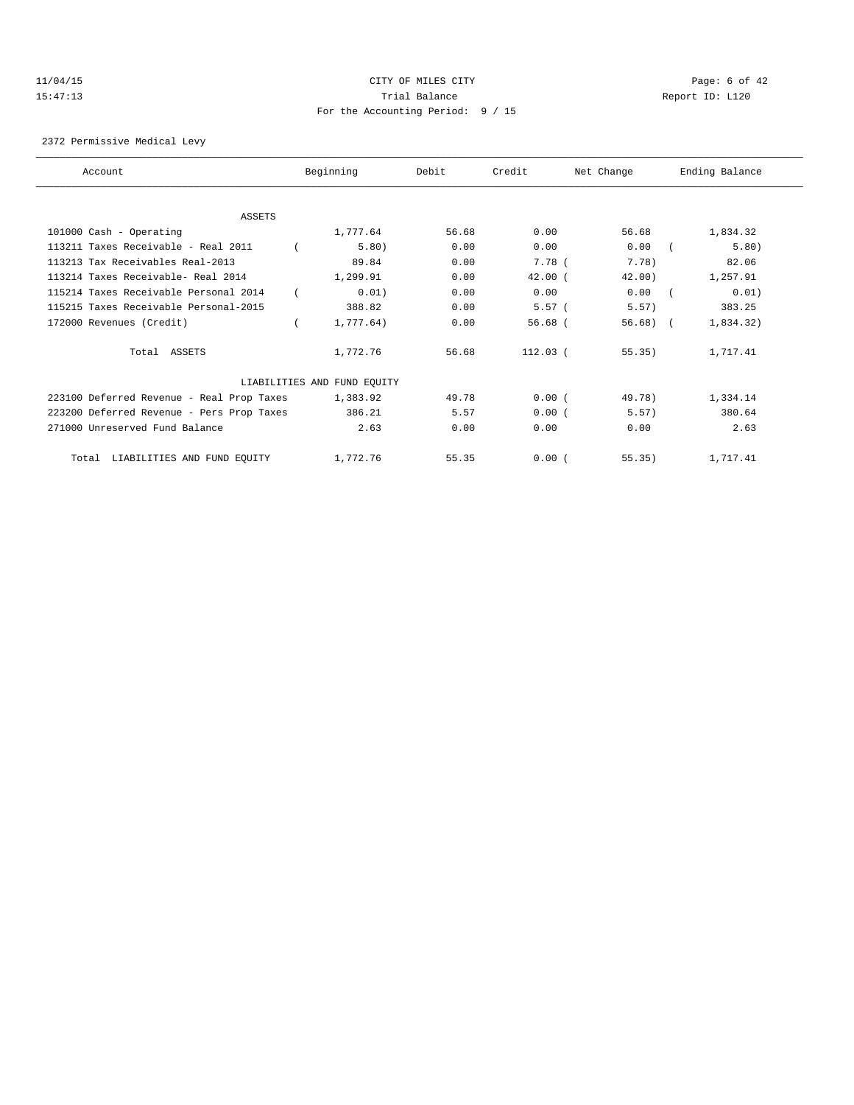# 11/04/15 CITY OF MILES CITY Page: 6 of 42 15:47:13 Trial Balance Report ID: L120 For the Accounting Period: 9 / 15

2372 Permissive Medical Levy

| Account                                   | Beginning                   | Debit | Credit      | Net Change  | Ending Balance |  |
|-------------------------------------------|-----------------------------|-------|-------------|-------------|----------------|--|
|                                           |                             |       |             |             |                |  |
| <b>ASSETS</b>                             |                             |       |             |             |                |  |
| 101000 Cash - Operating                   | 1,777.64                    | 56.68 | 0.00        | 56.68       | 1,834.32       |  |
| 113211 Taxes Receivable - Real 2011       | 5.80)                       | 0.00  | 0.00        | 0.00        | 5.80)          |  |
| 113213 Tax Receivables Real-2013          | 89.84                       | 0.00  | 7.78 (      | 7.78)       | 82.06          |  |
| 113214 Taxes Receivable- Real 2014        | 1,299.91                    | 0.00  | 42.00(      | 42.00)      | 1,257.91       |  |
| 115214 Taxes Receivable Personal 2014     | 0.01)                       | 0.00  | 0.00        | 0.00        | 0.01)          |  |
| 115215 Taxes Receivable Personal-2015     | 388.82                      | 0.00  | 5.57(       | 5.57)       | 383.25         |  |
| 172000 Revenues (Credit)                  | 1,777.64)                   | 0.00  | $56.68$ $($ | $56.68$ ) ( | 1,834.32)      |  |
| Total ASSETS                              | 1,772.76                    | 56.68 | $112.03$ (  | 55.35)      | 1,717.41       |  |
|                                           | LIABILITIES AND FUND EQUITY |       |             |             |                |  |
| 223100 Deferred Revenue - Real Prop Taxes | 1,383.92                    | 49.78 | 0.00(       | 49.78)      | 1,334.14       |  |
| 223200 Deferred Revenue - Pers Prop Taxes | 386.21                      | 5.57  | 0.00(       | 5.57)       | 380.64         |  |
| 271000 Unreserved Fund Balance            | 2.63                        | 0.00  | 0.00        | 0.00        | 2.63           |  |
| Total LIABILITIES AND FUND EQUITY         | 1,772.76                    | 55.35 | 0.00(       | 55.35)      | 1,717.41       |  |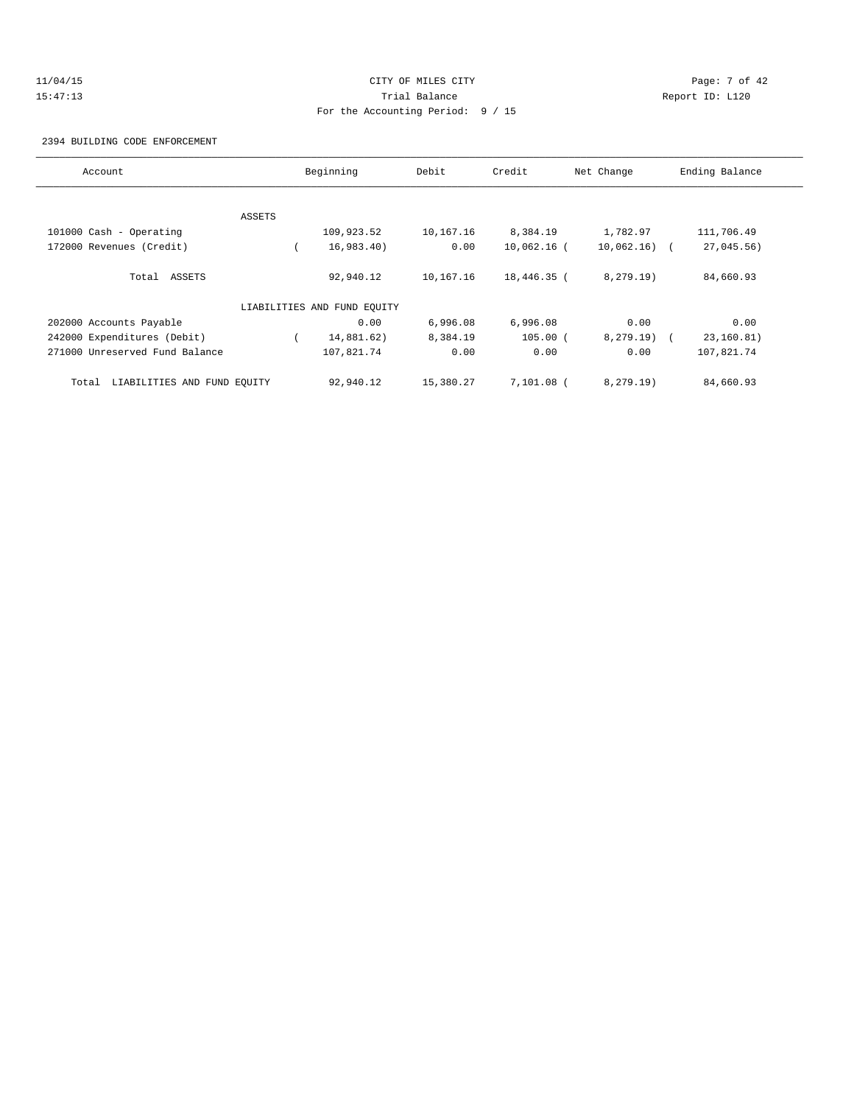# 11/04/15 CITY OF MILES CITY Page: 7 of 42 15:47:13 Trial Balance Report ID: L120 For the Accounting Period: 9 / 15

2394 BUILDING CODE ENFORCEMENT

| Account                              |        | Beginning                   | Debit     | Credit        | Net Change    | Ending Balance |
|--------------------------------------|--------|-----------------------------|-----------|---------------|---------------|----------------|
|                                      |        |                             |           |               |               |                |
|                                      | ASSETS |                             |           |               |               |                |
| 101000 Cash - Operating              |        | 109,923.52                  | 10,167.16 | 8,384.19      | 1,782.97      | 111,706.49     |
| 172000 Revenues (Credit)             |        | 16,983.40)                  | 0.00      | $10,062.16$ ( | $10,062.16$ ( | $27,045.56$ )  |
| Total ASSETS                         |        | 92,940.12                   | 10,167.16 | 18,446.35 (   | 8, 279.19)    | 84,660.93      |
|                                      |        | LIABILITIES AND FUND EQUITY |           |               |               |                |
| 202000 Accounts Payable              |        | 0.00                        | 6,996.08  | 6,996.08      | 0.00          | 0.00           |
| 242000 Expenditures (Debit)          |        | 14,881.62)                  | 8,384.19  | $105.00$ (    | $8,279.19$ (  | 23,160.81)     |
| 271000 Unreserved Fund Balance       |        | 107,821.74                  | 0.00      | 0.00          | 0.00          | 107,821.74     |
| LIABILITIES AND FUND EQUITY<br>Total |        | 92,940.12                   | 15,380.27 | 7,101.08 (    | 8, 279.19)    | 84,660.93      |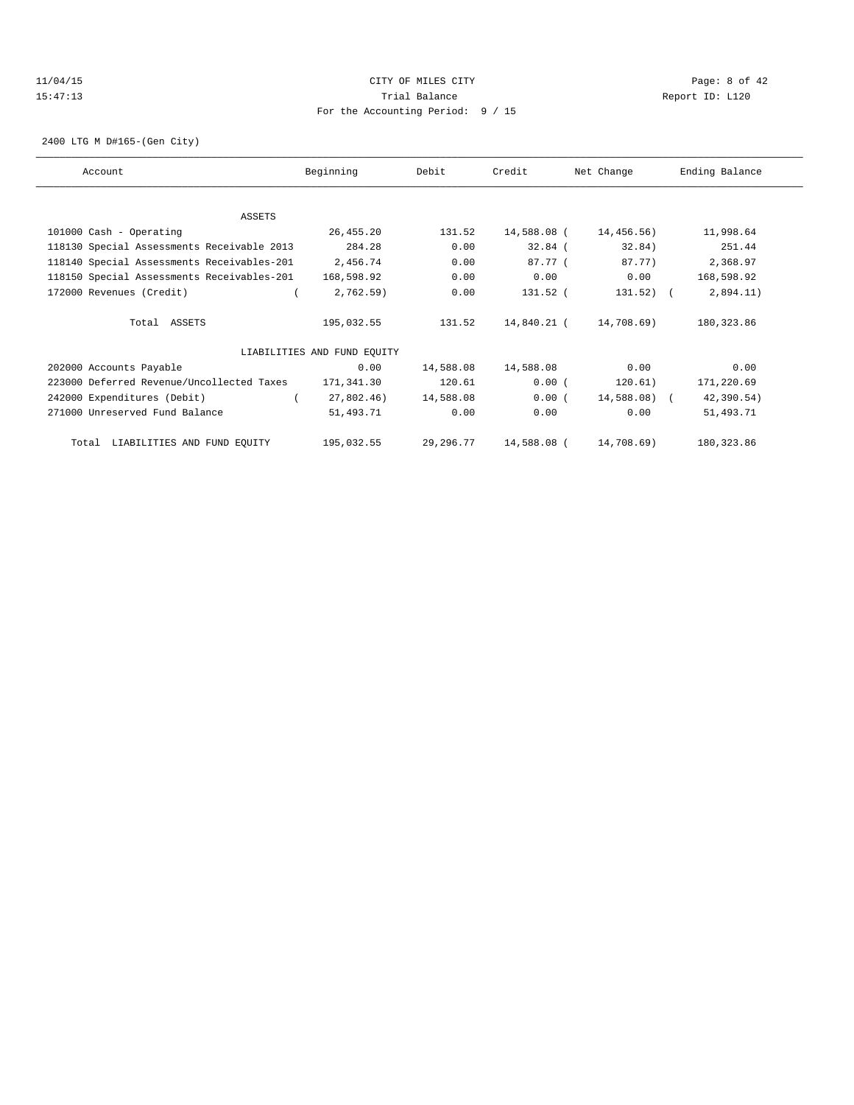## 11/04/15 CITY OF MILES CITY Page: 8 of 42 15:47:13 Trial Balance Report ID: L120 For the Accounting Period: 9 / 15

2400 LTG M D#165-(Gen City)

| Account                                    | Beginning                   | Debit     | Credit      | Net Change   | Ending Balance |
|--------------------------------------------|-----------------------------|-----------|-------------|--------------|----------------|
|                                            |                             |           |             |              |                |
| ASSETS                                     |                             |           |             |              |                |
| 101000 Cash - Operating                    | 26,455.20                   | 131.52    | 14,588.08 ( | 14,456.56)   | 11,998.64      |
| 118130 Special Assessments Receivable 2013 | 284.28                      | 0.00      | $32.84$ (   | 32.84)       | 251.44         |
| 118140 Special Assessments Receivables-201 | 2,456.74                    | 0.00      | 87.77 (     | 87.77)       | 2,368.97       |
| 118150 Special Assessments Receivables-201 | 168,598.92                  | 0.00      | 0.00        | 0.00         | 168,598.92     |
| 172000 Revenues (Credit)                   | 2,762.59                    | 0.00      | 131.52 (    | $131.52)$ (  | 2,894.11)      |
| Total ASSETS                               | 195,032.55                  | 131.52    | 14,840.21 ( | 14,708.69)   | 180, 323.86    |
|                                            | LIABILITIES AND FUND EOUITY |           |             |              |                |
| 202000 Accounts Payable                    | 0.00                        | 14,588.08 | 14,588.08   | 0.00         | 0.00           |
| 223000 Deferred Revenue/Uncollected Taxes  | 171,341.30                  | 120.61    | 0.00(       | 120.61)      | 171,220.69     |
| 242000 Expenditures (Debit)                | 27,802.46)                  | 14,588.08 | 0.00(       | 14,588.08) ( | 42,390.54)     |
| 271000 Unreserved Fund Balance             | 51,493.71                   | 0.00      | 0.00        | 0.00         | 51,493.71      |
| LIABILITIES AND FUND EQUITY<br>Total       | 195,032.55                  | 29,296.77 | 14,588.08 ( | 14,708.69)   | 180, 323.86    |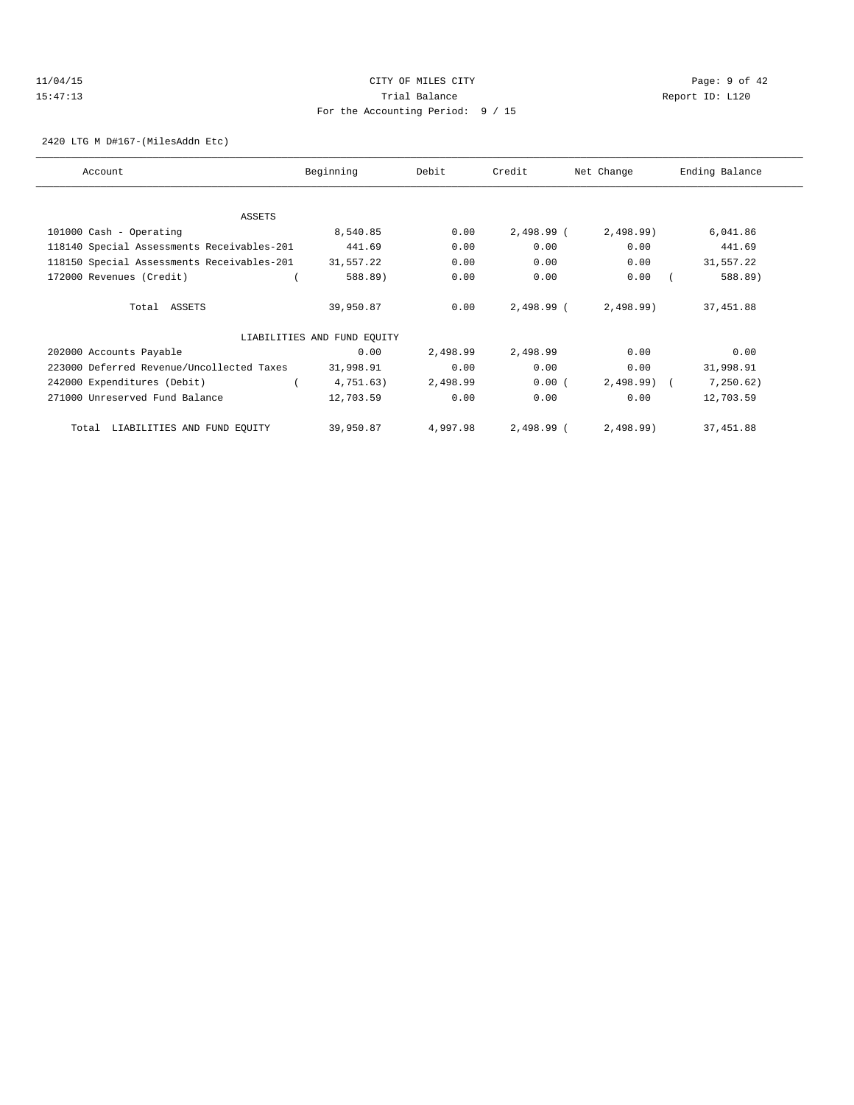## 11/04/15 CITY OF MILES CITY Page: 9 of 42 15:47:13 Trial Balance Report ID: L120 For the Accounting Period: 9 / 15

2420 LTG M D#167-(MilesAddn Etc)

| Account                                    | Beginning                   | Debit    | Credit     | Net Change   | Ending Balance |
|--------------------------------------------|-----------------------------|----------|------------|--------------|----------------|
|                                            |                             |          |            |              |                |
|                                            |                             |          |            |              |                |
| ASSETS                                     |                             |          |            |              |                |
| 101000 Cash - Operating                    | 8,540.85                    | 0.00     | 2,498.99 ( | 2,498.99     | 6,041.86       |
| 118140 Special Assessments Receivables-201 | 441.69                      | 0.00     | 0.00       | 0.00         | 441.69         |
| 118150 Special Assessments Receivables-201 | 31,557.22                   | 0.00     | 0.00       | 0.00         | 31,557.22      |
| 172000 Revenues (Credit)                   | 588.89)                     | 0.00     | 0.00       | 0.00         | 588.89)        |
|                                            |                             |          |            |              |                |
| Total ASSETS                               | 39,950.87                   | 0.00     | 2,498.99 ( | 2,498.99     | 37, 451.88     |
|                                            |                             |          |            |              |                |
|                                            | LIABILITIES AND FUND EQUITY |          |            |              |                |
| 202000 Accounts Payable                    | 0.00                        | 2,498.99 | 2,498.99   | 0.00         | 0.00           |
| 223000 Deferred Revenue/Uncollected Taxes  | 31,998.91                   | 0.00     | 0.00       | 0.00         | 31,998.91      |
| 242000 Expenditures (Debit)                | 4,751.63)                   | 2,498.99 | 0.00(      | $2,498.99$ ( | 7, 250.62)     |
| 271000 Unreserved Fund Balance             | 12,703.59                   | 0.00     | 0.00       | 0.00         | 12,703.59      |
|                                            |                             |          |            |              |                |
| LIABILITIES AND FUND EQUITY<br>Total       | 39,950.87                   | 4,997.98 | 2,498.99 ( | 2,498.99     | 37, 451.88     |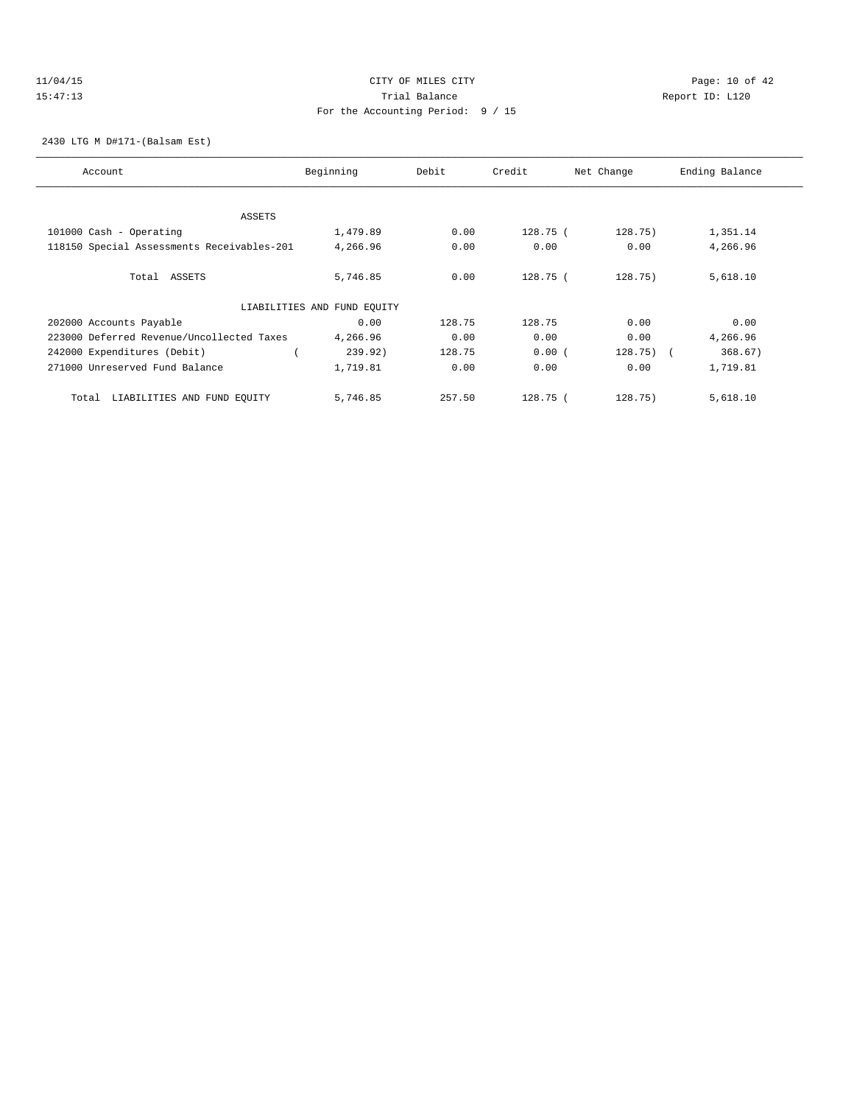## 11/04/15 **Page: 10 of 42** CITY OF MILES CITY **CITY** CITY **Page: 10 of 42** 15:47:13 Trial Balance Report ID: L120 For the Accounting Period: 9 / 15

2430 LTG M D#171-(Balsam Est)

| Account                                    | Beginning                   | Debit  | Credit     | Net Change   | Ending Balance |
|--------------------------------------------|-----------------------------|--------|------------|--------------|----------------|
|                                            |                             |        |            |              |                |
| ASSETS                                     |                             |        |            |              |                |
| 101000 Cash - Operating                    | 1,479.89                    | 0.00   | 128.75 (   | 128.75)      | 1,351.14       |
| 118150 Special Assessments Receivables-201 | 4,266.96                    | 0.00   | 0.00       | 0.00         | 4,266.96       |
| Total ASSETS                               | 5,746.85                    | 0.00   | 128.75 (   | 128.75)      | 5,618.10       |
|                                            | LIABILITIES AND FUND EQUITY |        |            |              |                |
| 202000 Accounts Payable                    | 0.00                        | 128.75 | 128.75     | 0.00         | 0.00           |
| 223000 Deferred Revenue/Uncollected Taxes  | 4,266.96                    | 0.00   | 0.00       | 0.00         | 4,266.96       |
| 242000 Expenditures (Debit)                | 239.92)                     | 128.75 | 0.00(      | $128.75$ ) ( | 368.67)        |
| 271000 Unreserved Fund Balance             | 1,719.81                    | 0.00   | 0.00       | 0.00         | 1,719.81       |
| LIABILITIES AND FUND EQUITY<br>Total       | 5,746.85                    | 257.50 | $128.75$ ( | 128.75)      | 5,618.10       |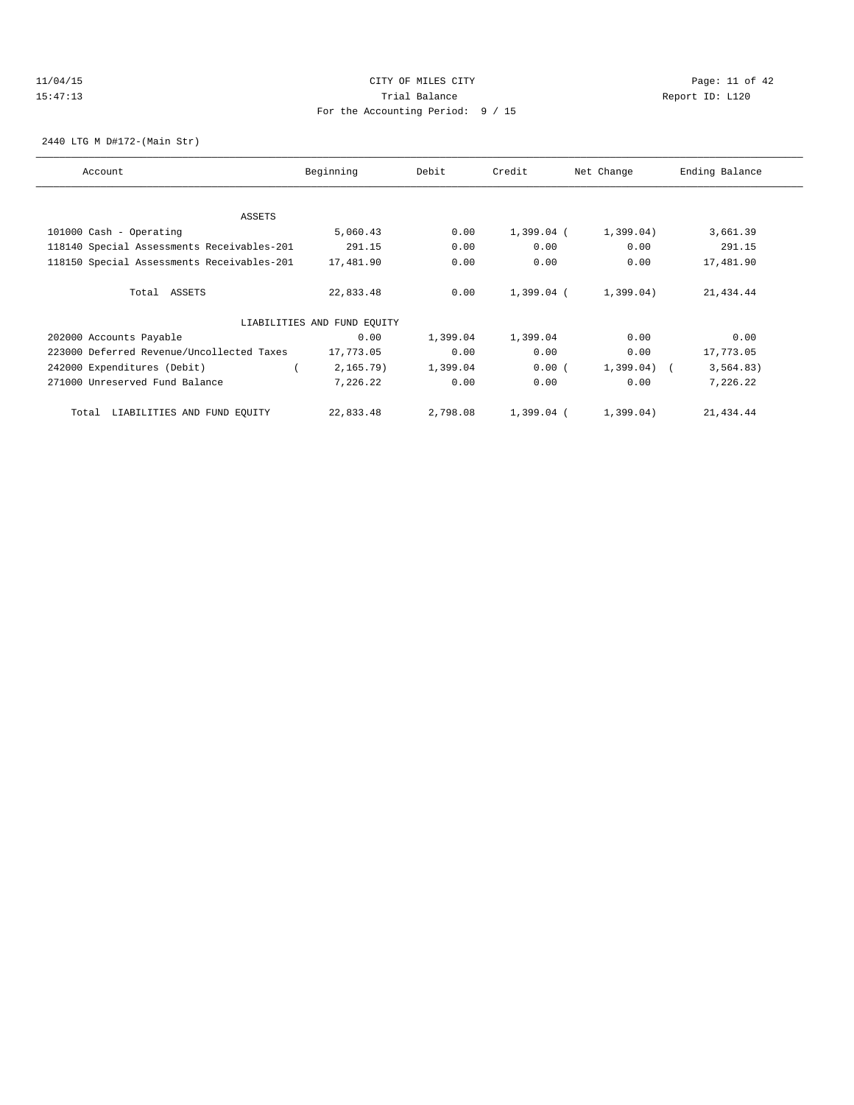## $11/04/15$  Page: 11 of 42 15:47:13 Trial Balance Report ID: L120 For the Accounting Period: 9 / 15

2440 LTG M D#172-(Main Str)

| Account                                    | Beginning                   | Debit    | Credit       | Net Change   | Ending Balance |
|--------------------------------------------|-----------------------------|----------|--------------|--------------|----------------|
|                                            |                             |          |              |              |                |
| ASSETS                                     |                             |          |              |              |                |
| 101000 Cash - Operating                    | 5,060.43                    | 0.00     | $1,399.04$ ( | 1,399.04)    | 3,661.39       |
| 118140 Special Assessments Receivables-201 | 291.15                      | 0.00     | 0.00         | 0.00         | 291.15         |
| 118150 Special Assessments Receivables-201 | 17,481.90                   | 0.00     | 0.00         | 0.00         | 17,481.90      |
| Total ASSETS                               | 22,833.48                   | 0.00     | 1,399.04 (   | 1,399.04)    | 21, 434.44     |
|                                            | LIABILITIES AND FUND EQUITY |          |              |              |                |
| 202000 Accounts Payable                    | 0.00                        | 1,399.04 | 1,399.04     | 0.00         | 0.00           |
| 223000 Deferred Revenue/Uncollected Taxes  | 17,773.05                   | 0.00     | 0.00         | 0.00         | 17,773.05      |
| 242000 Expenditures (Debit)                | $2, 165.79$ )               | 1,399.04 | 0.00(        | $1,399.04$ ( | 3, 564.83)     |
| 271000 Unreserved Fund Balance             | 7,226.22                    | 0.00     | 0.00         | 0.00         | 7,226.22       |
| LIABILITIES AND FUND EQUITY<br>Total       | 22,833.48                   | 2,798.08 | $1.399.04$ ( | 1,399.04)    | 21, 434.44     |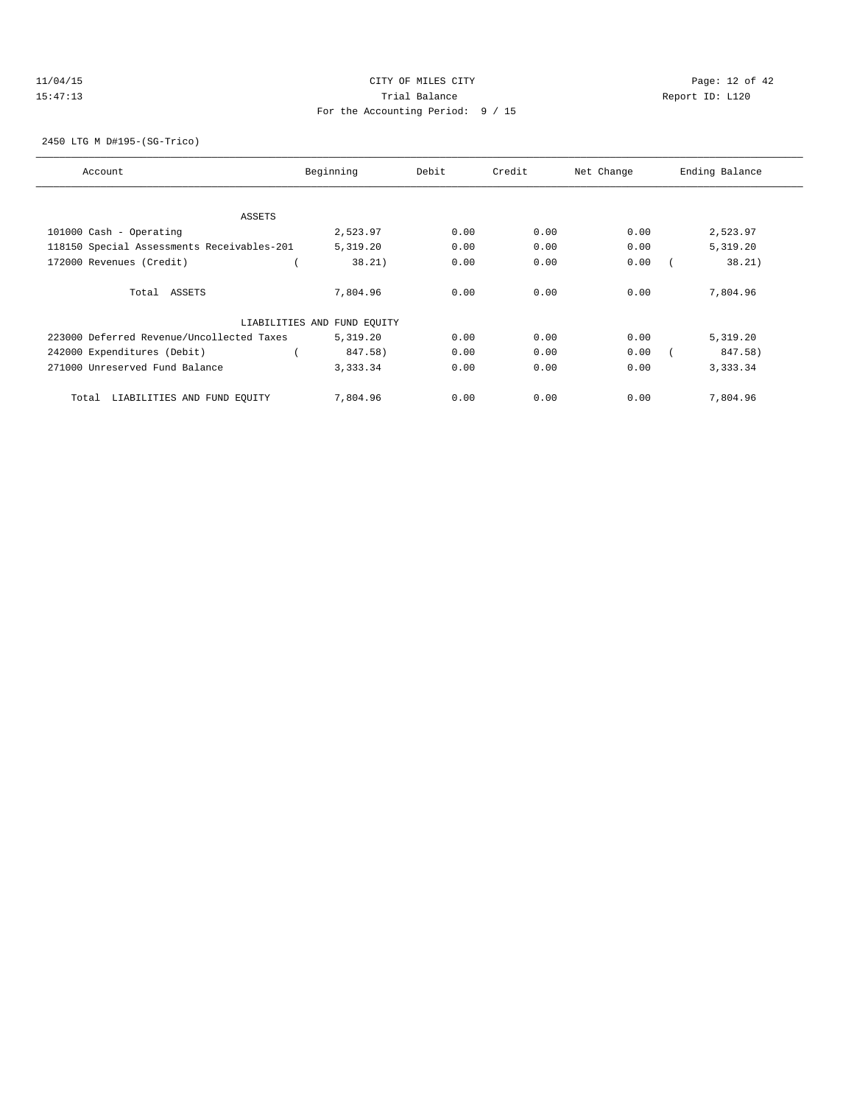## 11/04/15 **Page: 12 of 42** CITY OF MILES CITY **CITY** CITY **Page: 12 of 42** 15:47:13 Trial Balance Report ID: L120 For the Accounting Period: 9 / 15

### 2450 LTG M D#195-(SG-Trico)

| Account                                    | Beginning                   | Debit | Credit | Net Change | Ending Balance |
|--------------------------------------------|-----------------------------|-------|--------|------------|----------------|
|                                            |                             |       |        |            |                |
| ASSETS<br>101000 Cash - Operating          | 2,523.97                    | 0.00  | 0.00   | 0.00       | 2,523.97       |
| 118150 Special Assessments Receivables-201 | 5,319.20                    | 0.00  | 0.00   | 0.00       | 5,319.20       |
| 172000 Revenues (Credit)                   | 38.21)                      | 0.00  | 0.00   | 0.00       | 38.21)         |
| Total ASSETS                               | 7,804.96                    | 0.00  | 0.00   | 0.00       | 7,804.96       |
|                                            | LIABILITIES AND FUND EQUITY |       |        |            |                |
| 223000 Deferred Revenue/Uncollected Taxes  | 5,319.20                    | 0.00  | 0.00   | 0.00       | 5,319.20       |
| 242000 Expenditures (Debit)                | 847.58)                     | 0.00  | 0.00   | 0.00       | 847.58)        |
| 271000 Unreserved Fund Balance             | 3,333.34                    | 0.00  | 0.00   | 0.00       | 3,333.34       |
| LIABILITIES AND FUND EQUITY<br>Total       | 7,804.96                    | 0.00  | 0.00   | 0.00       | 7,804.96       |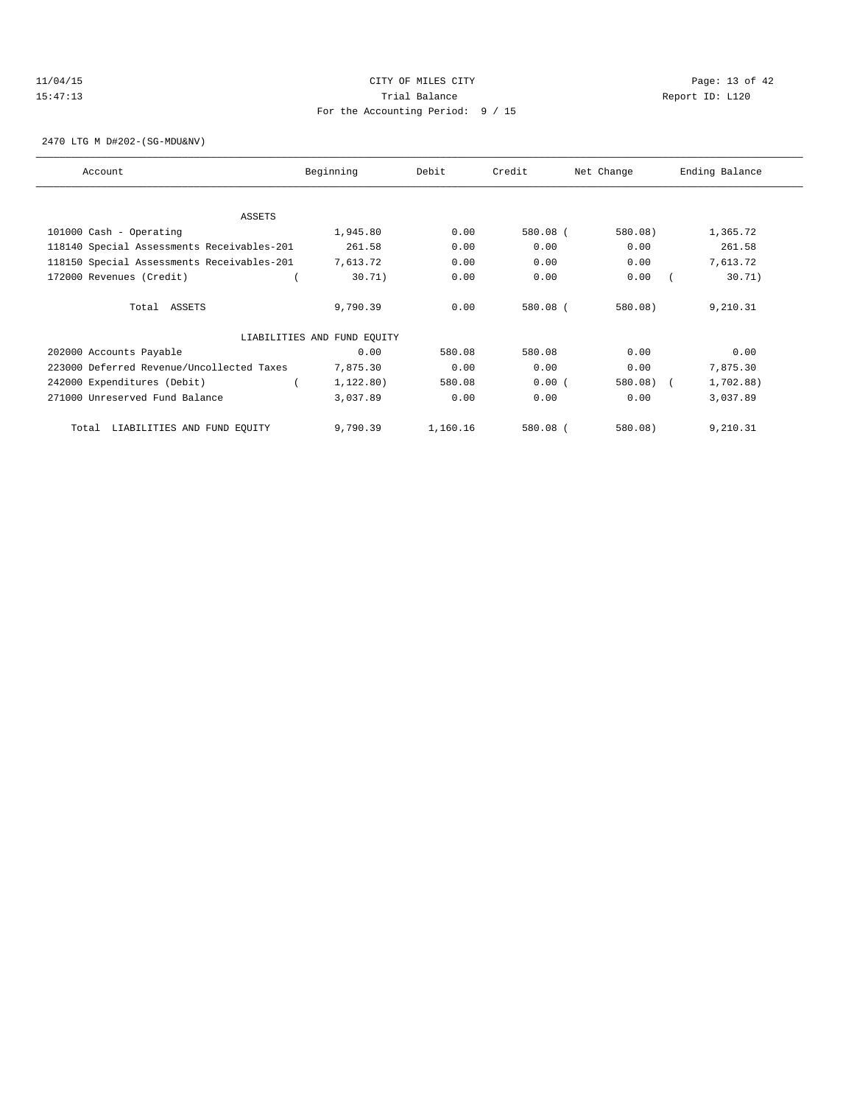## 11/04/15 Page: 13 of 42 15:47:13 Trial Balance Report ID: L120 For the Accounting Period: 9 / 15

2470 LTG M D#202-(SG-MDU&NV)

| Account                                    | Beginning                   | Debit    | Credit   | Net Change | Ending Balance |
|--------------------------------------------|-----------------------------|----------|----------|------------|----------------|
|                                            |                             |          |          |            |                |
| ASSETS                                     |                             |          |          |            |                |
| 101000 Cash - Operating                    | 1,945.80                    | 0.00     | 580.08 ( | 580.08)    | 1,365.72       |
| 118140 Special Assessments Receivables-201 | 261.58                      | 0.00     | 0.00     | 0.00       | 261.58         |
| 118150 Special Assessments Receivables-201 | 7,613.72                    | 0.00     | 0.00     | 0.00       | 7,613.72       |
| 172000 Revenues (Credit)                   | 30.71)                      | 0.00     | 0.00     | 0.00       | 30.71)         |
| Total ASSETS                               | 9,790.39                    | 0.00     | 580.08 ( | 580.08)    | 9,210.31       |
|                                            | LIABILITIES AND FUND EQUITY |          |          |            |                |
| 202000 Accounts Payable                    | 0.00                        | 580.08   | 580.08   | 0.00       | 0.00           |
| 223000 Deferred Revenue/Uncollected Taxes  | 7,875.30                    | 0.00     | 0.00     | 0.00       | 7,875.30       |
| 242000 Expenditures (Debit)                | 1,122.80)                   | 580.08   | 0.00(    | 580.08)    | 1,702.88)      |
| 271000 Unreserved Fund Balance             | 3,037.89                    | 0.00     | 0.00     | 0.00       | 3,037.89       |
| LIABILITIES AND FUND EQUITY<br>Total       | 9,790.39                    | 1,160.16 | 580.08 ( | 580.08)    | 9,210.31       |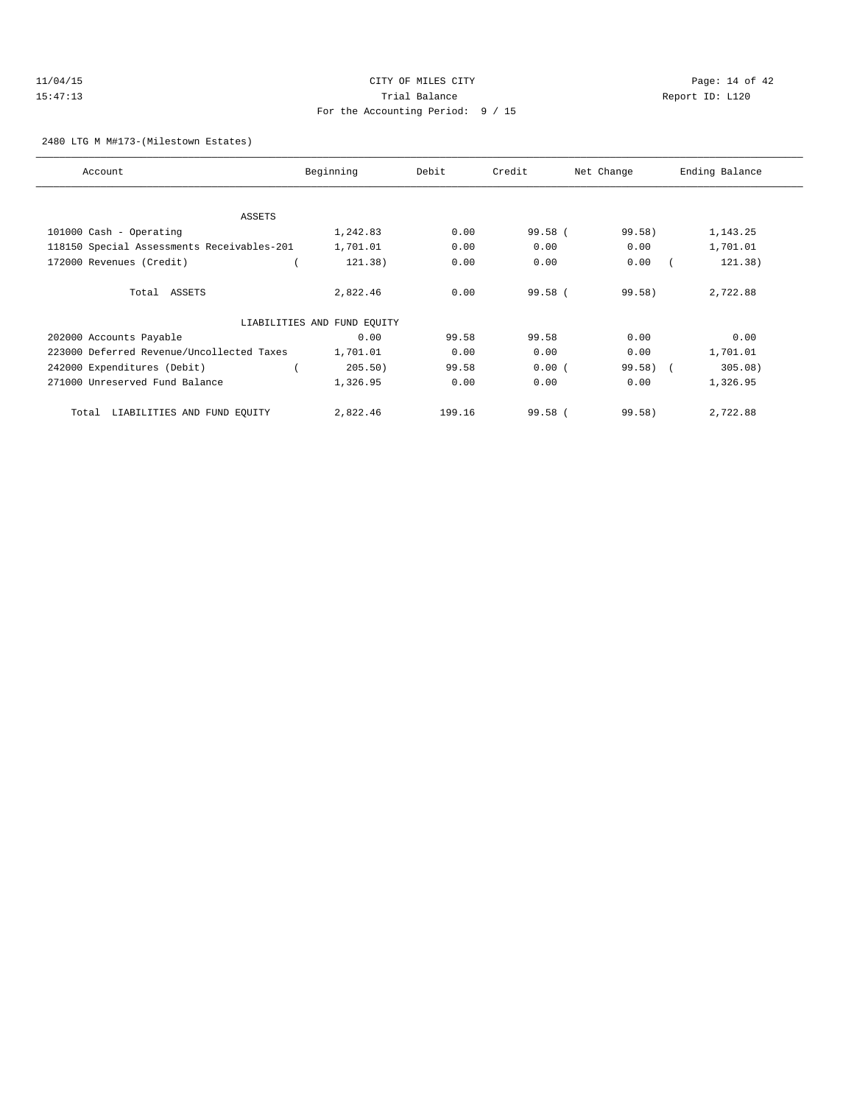## 11/04/15 **Page: 14 of 42 CITY OF MILES CITY CITY Page: 14 of 42** 15:47:13 Trial Balance Report ID: L120 For the Accounting Period: 9 / 15

### 2480 LTG M M#173-(Milestown Estates)

| Account                                    | Beginning                   | Debit  | Credit  | Net Change | Ending Balance |
|--------------------------------------------|-----------------------------|--------|---------|------------|----------------|
|                                            |                             |        |         |            |                |
| <b>ASSETS</b>                              |                             |        |         |            |                |
| 101000 Cash - Operating                    | 1,242.83                    | 0.00   | 99.58(  | 99.58)     | 1,143.25       |
| 118150 Special Assessments Receivables-201 | 1,701.01                    | 0.00   | 0.00    | 0.00       | 1,701.01       |
| 172000 Revenues (Credit)                   | 121.38)                     | 0.00   | 0.00    | 0.00       | 121.38)        |
| Total ASSETS                               | 2,822.46                    | 0.00   | 99.58 ( | $99.58$ )  | 2,722.88       |
|                                            | LIABILITIES AND FUND EQUITY |        |         |            |                |
| 202000 Accounts Payable                    | 0.00                        | 99.58  | 99.58   | 0.00       | 0.00           |
| 223000 Deferred Revenue/Uncollected Taxes  | 1,701.01                    | 0.00   | 0.00    | 0.00       | 1,701.01       |
| 242000 Expenditures (Debit)                | 205.50)                     | 99.58  | 0.00(   | $99.58$ (  | 305.08)        |
| 271000 Unreserved Fund Balance             | 1,326.95                    | 0.00   | 0.00    | 0.00       | 1,326.95       |
| LIABILITIES AND FUND EQUITY<br>Total       | 2,822.46                    | 199.16 | 99.58(  | 99.58)     | 2,722.88       |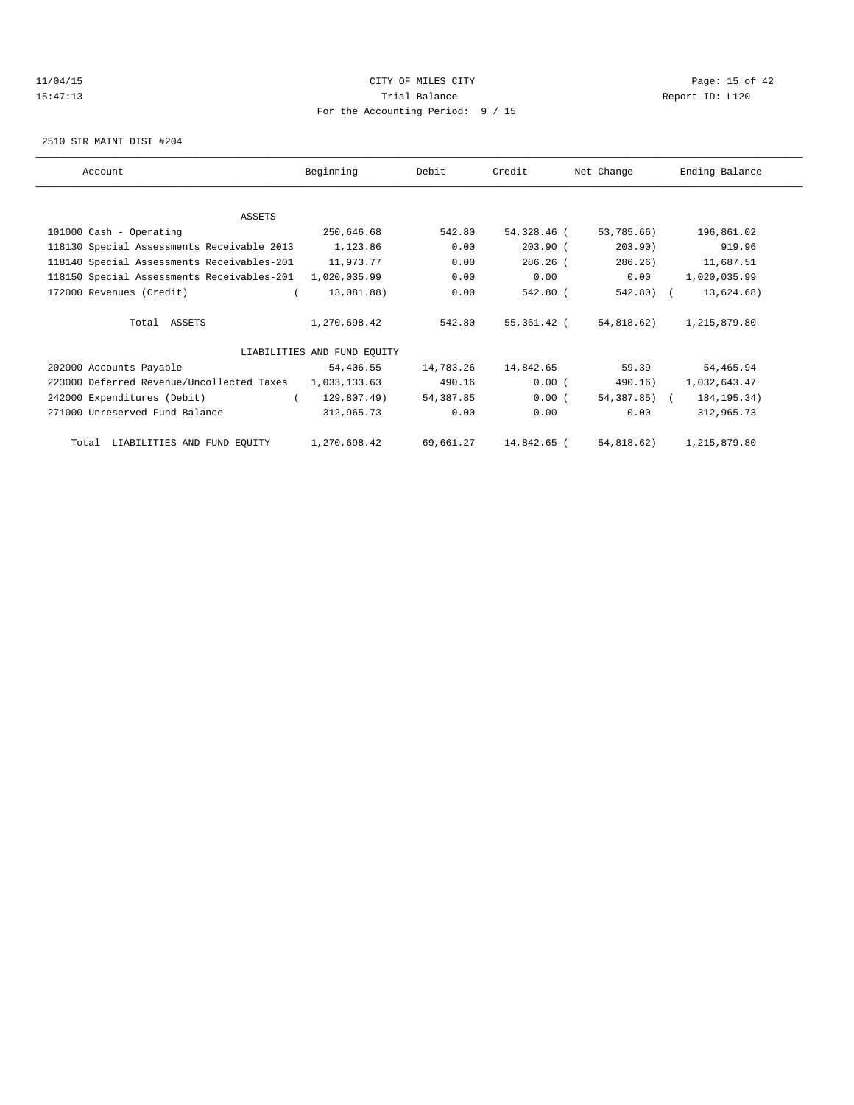## $11/04/15$  Page: 15 of 42 15:47:13 Trial Balance Report ID: L120 For the Accounting Period: 9 / 15

2510 STR MAINT DIST #204

| Account                                    | Beginning                   | Debit     | Credit      | Net Change            | Ending Balance |
|--------------------------------------------|-----------------------------|-----------|-------------|-----------------------|----------------|
|                                            |                             |           |             |                       |                |
| ASSETS                                     |                             |           |             |                       |                |
| 101000 Cash - Operating                    | 250,646.68                  | 542.80    | 54,328.46 ( | 53,785.66)            | 196,861.02     |
| 118130 Special Assessments Receivable 2013 | 1,123.86                    | 0.00      | $203.90$ (  | 203.90)               | 919.96         |
| 118140 Special Assessments Receivables-201 | 11,973.77                   | 0.00      | $286.26$ (  | 286.26)               | 11,687.51      |
| 118150 Special Assessments Receivables-201 | 1,020,035.99                | 0.00      | 0.00        | 0.00                  | 1,020,035.99   |
| 172000 Revenues (Credit)                   | 13,081.88)                  | 0.00      | 542.80 (    | 542.80) (             | 13,624.68)     |
| Total ASSETS                               | 1,270,698.42                | 542.80    |             | 55,361.42 (54,818.62) | 1,215,879.80   |
|                                            | LIABILITIES AND FUND EOUITY |           |             |                       |                |
| 202000 Accounts Payable                    | 54,406.55                   | 14,783.26 | 14,842.65   | 59.39                 | 54,465.94      |
| 223000 Deferred Revenue/Uncollected Taxes  | 1,033,133.63                | 490.16    | 0.00(       | 490.16)               | 1,032,643.47   |
| 242000 Expenditures (Debit)                | 129,807.49)<br>$\epsilon$   | 54,387.85 | 0.00(       | 54,387.85) (          | 184, 195. 34)  |
| 271000 Unreserved Fund Balance             | 312,965.73                  | 0.00      | 0.00        | 0.00                  | 312,965.73     |
| Total LIABILITIES AND FUND EQUITY          | 1,270,698.42                | 69,661.27 | 14,842.65 ( | 54,818.62)            | 1,215,879.80   |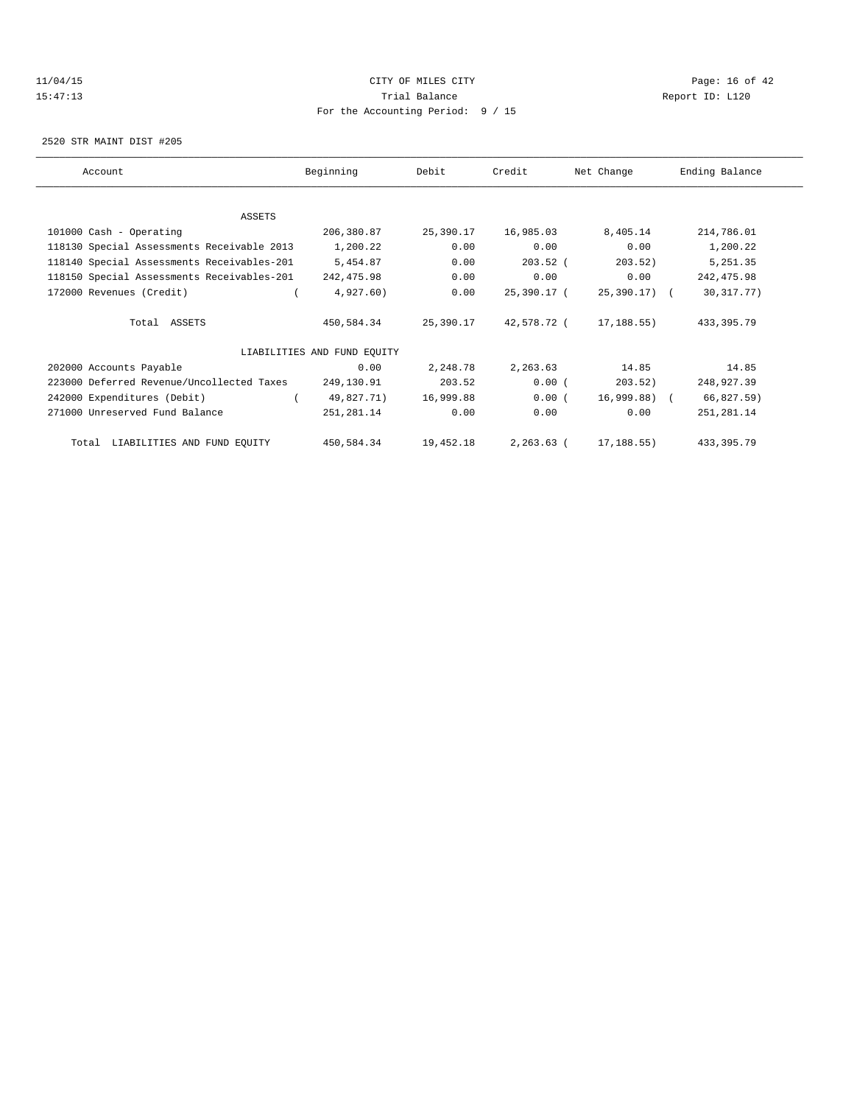## $11/04/15$  Page: 16 of 42 15:47:13 Trial Balance Report ID: L120 For the Accounting Period: 9 / 15

2520 STR MAINT DIST #205

| Account                                    | Beginning                   | Debit     | Credit        | Net Change   | Ending Balance |
|--------------------------------------------|-----------------------------|-----------|---------------|--------------|----------------|
|                                            |                             |           |               |              |                |
| ASSETS                                     |                             |           |               |              |                |
| 101000 Cash - Operating                    | 206,380.87                  | 25,390.17 | 16,985.03     | 8,405.14     | 214,786.01     |
| 118130 Special Assessments Receivable 2013 | 1,200.22                    | 0.00      | 0.00          | 0.00         | 1,200.22       |
| 118140 Special Assessments Receivables-201 | 5,454.87                    | 0.00      | $203.52$ (    | 203.52)      | 5,251.35       |
| 118150 Special Assessments Receivables-201 | 242,475.98                  | 0.00      | 0.00          | 0.00         | 242, 475.98    |
| 172000 Revenues (Credit)                   | 4,927.60)                   | 0.00      | 25,390.17 (   | 25,390.17) ( | 30, 317. 77)   |
| Total ASSETS                               | 450,584.34                  | 25,390.17 | 42,578.72 (   | 17,188.55)   | 433, 395.79    |
|                                            | LIABILITIES AND FUND EQUITY |           |               |              |                |
| 202000 Accounts Payable                    | 0.00                        | 2,248.78  | 2,263.63      | 14.85        | 14.85          |
| 223000 Deferred Revenue/Uncollected Taxes  | 249,130.91                  | 203.52    | 0.00(         | 203.52)      | 248,927.39     |
| 242000 Expenditures (Debit)                | 49,827.71)                  | 16,999.88 | 0.00(         | 16,999.88) ( | 66,827.59)     |
| 271000 Unreserved Fund Balance             | 251,281.14                  | 0.00      | 0.00          | 0.00         | 251, 281.14    |
| Total LIABILITIES AND FUND EQUITY          | 450,584.34                  | 19,452.18 | $2, 263.63$ ( | 17,188.55)   | 433, 395.79    |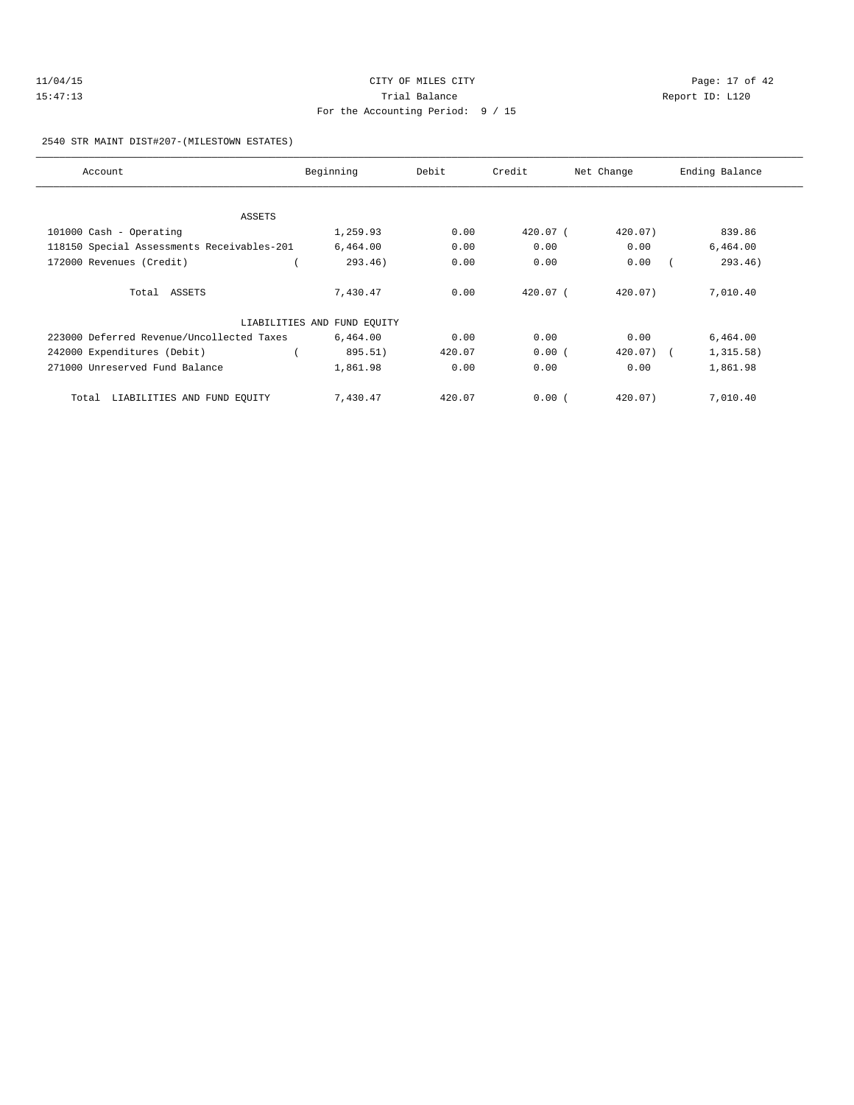| 11/04/15 | CITY OF MILES CITY                | Page: 17 of 42  |
|----------|-----------------------------------|-----------------|
| 15:47:13 | Trial Balance                     | Report ID: L120 |
|          | For the Accounting Period: 9 / 15 |                 |

2540 STR MAINT DIST#207-(MILESTOWN ESTATES)

| Account                                    | Beginning                   | Debit  | Credit   | Net Change | Ending Balance |
|--------------------------------------------|-----------------------------|--------|----------|------------|----------------|
|                                            |                             |        |          |            |                |
| ASSETS                                     |                             |        |          |            |                |
| 101000 Cash - Operating                    | 1,259.93                    | 0.00   | 420.07 ( | 420.07)    | 839.86         |
| 118150 Special Assessments Receivables-201 | 6,464.00                    | 0.00   | 0.00     | 0.00       | 6,464.00       |
| 172000 Revenues (Credit)                   | 293.46)                     | 0.00   | 0.00     | 0.00       | 293.46)        |
| Total ASSETS                               | 7,430.47                    | 0.00   | 420.07 ( | 420.07)    | 7,010.40       |
|                                            | LIABILITIES AND FUND EQUITY |        |          |            |                |
| 223000 Deferred Revenue/Uncollected Taxes  | 6,464.00                    | 0.00   | 0.00     | 0.00       | 6,464.00       |
| 242000 Expenditures (Debit)                | 895.51)                     | 420.07 | 0.00(    | 420.07) (  | 1,315.58)      |
| 271000 Unreserved Fund Balance             | 1,861.98                    | 0.00   | 0.00     | 0.00       | 1,861.98       |
| LIABILITIES AND FUND EQUITY<br>Total       | 7,430.47                    | 420.07 | 0.00(    | 420.07)    | 7,010.40       |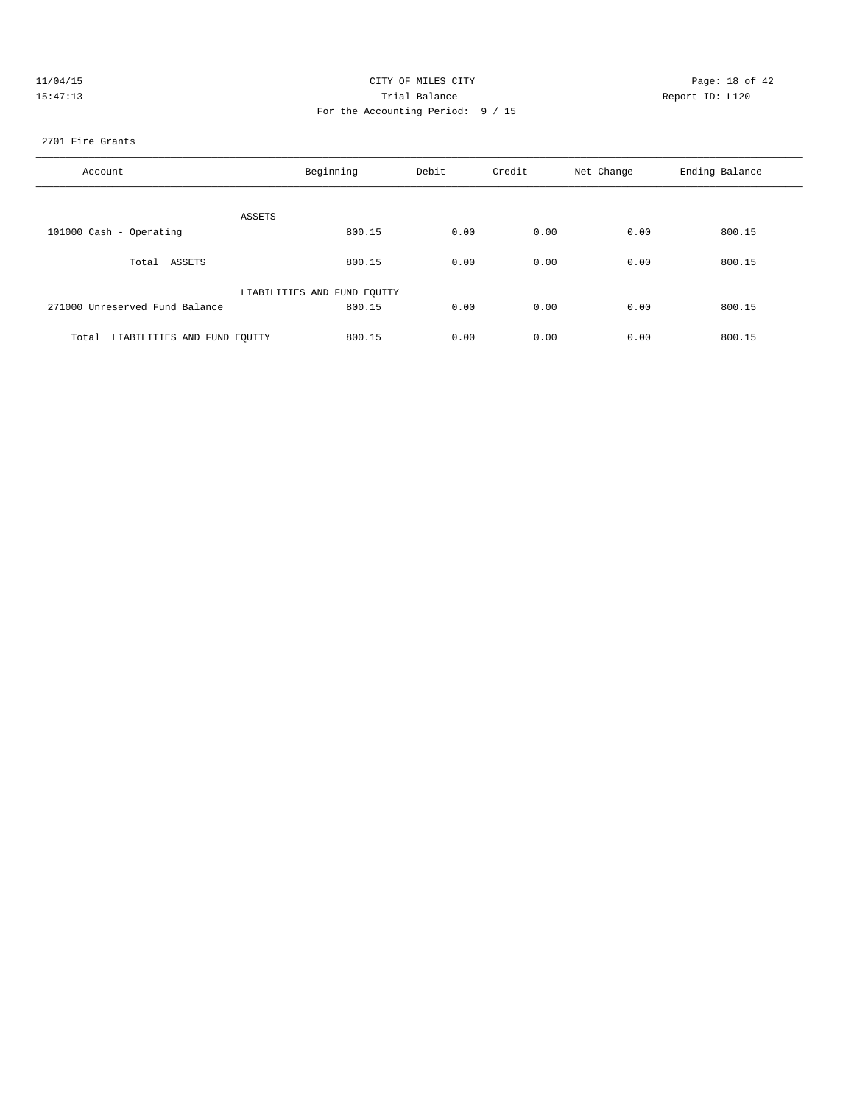| 11/04/15 | CITY OF MILES CITY                | Page: 18 of 42  |
|----------|-----------------------------------|-----------------|
| 15:47:13 | Trial Balance                     | Report ID: L120 |
|          | For the Accounting Period: 9 / 15 |                 |

#### 2701 Fire Grants

| Account                              | Beginning                   | Debit | Credit | Net Change | Ending Balance |
|--------------------------------------|-----------------------------|-------|--------|------------|----------------|
| ASSETS                               |                             |       |        |            |                |
| 101000 Cash - Operating              | 800.15                      | 0.00  | 0.00   | 0.00       | 800.15         |
| Total ASSETS                         | 800.15                      | 0.00  | 0.00   | 0.00       | 800.15         |
|                                      | LIABILITIES AND FUND EQUITY |       |        |            |                |
| 271000 Unreserved Fund Balance       | 800.15                      | 0.00  | 0.00   | 0.00       | 800.15         |
| LIABILITIES AND FUND EQUITY<br>Total | 800.15                      | 0.00  | 0.00   | 0.00       | 800.15         |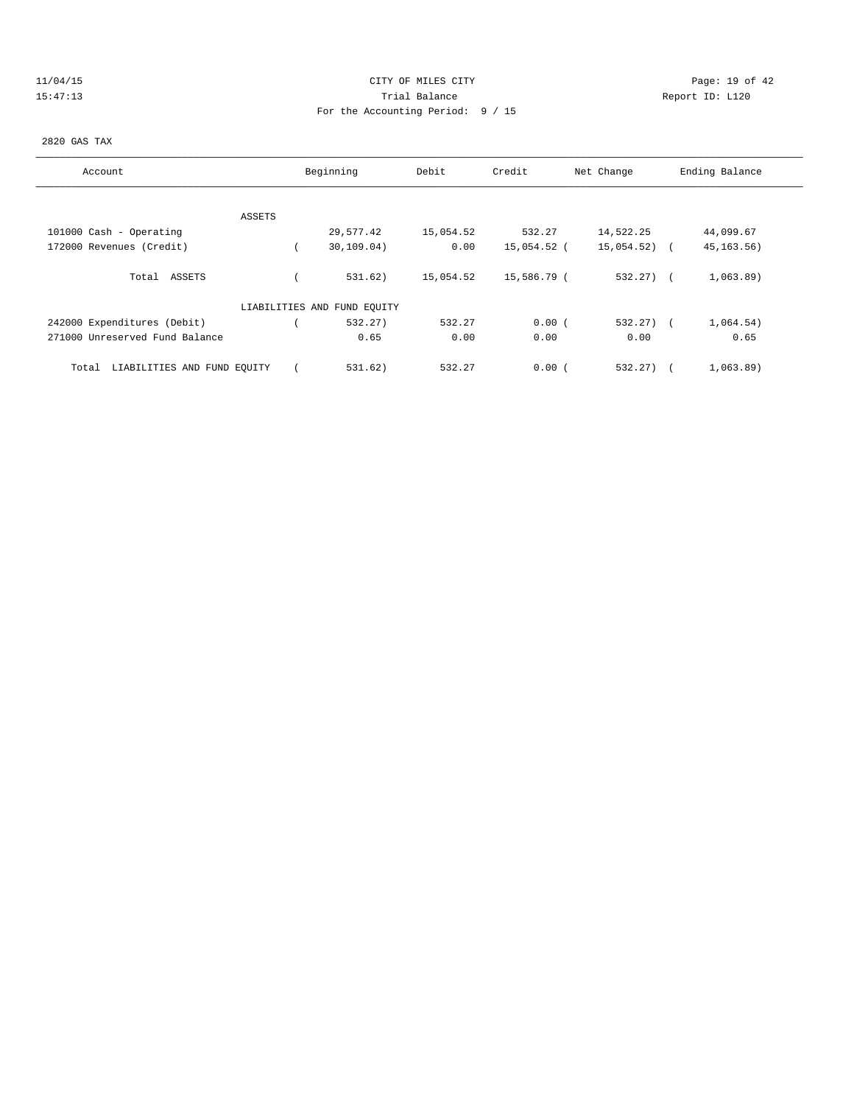| 11/04/15 |  |  |  |  |
|----------|--|--|--|--|
| 15:47:1  |  |  |  |  |

## 11/04/15 CITY OF MILES CITY Page: 19 of 42 Partial Balance and Communications of the Report ID: L120 For the Accounting Period: 9 / 15

## 2820 GAS TAX

| Account                              | Beginning                   | Debit     | Credit      | Net Change   | Ending Balance |
|--------------------------------------|-----------------------------|-----------|-------------|--------------|----------------|
|                                      |                             |           |             |              |                |
| ASSETS                               |                             |           |             |              |                |
| 101000 Cash - Operating              | 29,577.42                   | 15,054.52 | 532.27      | 14,522.25    | 44,099.67      |
| 172000 Revenues (Credit)             | 30, 109.04)                 | 0.00      | 15,054.52 ( | 15,054.52)   | 45, 163. 56)   |
| Total ASSETS                         | 531.62)                     | 15,054.52 | 15,586.79 ( | $532.27$ ) ( | 1,063.89)      |
|                                      | LIABILITIES AND FUND EQUITY |           |             |              |                |
| 242000 Expenditures (Debit)          | 532.27                      | 532.27    | 0.00(       | $532.27$ ) ( | 1,064.54)      |
| 271000 Unreserved Fund Balance       | 0.65                        | 0.00      | 0.00        | 0.00         | 0.65           |
| LIABILITIES AND FUND EQUITY<br>Total | 531.62)                     | 532.27    | 0.00(       | 532.27)      | 1,063.89)      |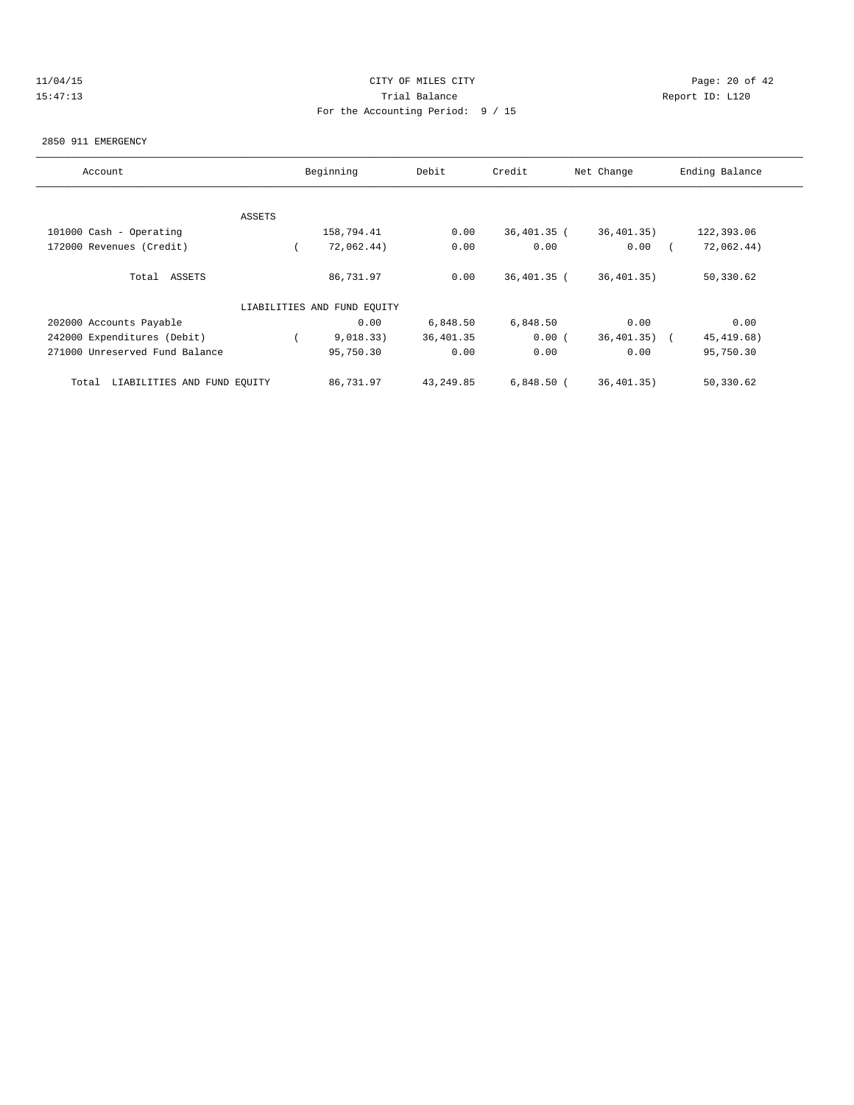# 11/04/15 **Page: 20 of 42 CITY OF MILES CITY CITY Page: 20 of 42** 15:47:13 Trial Balance Report ID: L120 For the Accounting Period: 9 / 15

#### 2850 911 EMERGENCY

| Account                              |        | Beginning                   | Debit     | Credit        | Net Change   | Ending Balance |
|--------------------------------------|--------|-----------------------------|-----------|---------------|--------------|----------------|
|                                      |        |                             |           |               |              |                |
|                                      | ASSETS |                             |           |               |              |                |
| 101000 Cash - Operating              |        | 158,794.41                  | 0.00      | $36,401.35$ ( | 36, 401, 35) | 122,393.06     |
| 172000 Revenues (Credit)             |        | 72,062.44)                  | 0.00      | 0.00          | 0.00         | 72,062.44)     |
| Total ASSETS                         |        | 86,731.97                   | 0.00      | 36,401.35 (   | 36, 401, 35) | 50,330.62      |
|                                      |        | LIABILITIES AND FUND EQUITY |           |               |              |                |
| 202000 Accounts Payable              |        | 0.00                        | 6,848.50  | 6,848.50      | 0.00         | 0.00           |
| 242000 Expenditures (Debit)          |        | 9,018.33)                   | 36,401.35 | 0.00(         | 36, 401, 35) | 45, 419.68)    |
| 271000 Unreserved Fund Balance       |        | 95,750.30                   | 0.00      | 0.00          | 0.00         | 95,750.30      |
| LIABILITIES AND FUND EQUITY<br>Total |        | 86,731.97                   | 43,249.85 | $6,848.50$ (  | 36,401.35)   | 50,330.62      |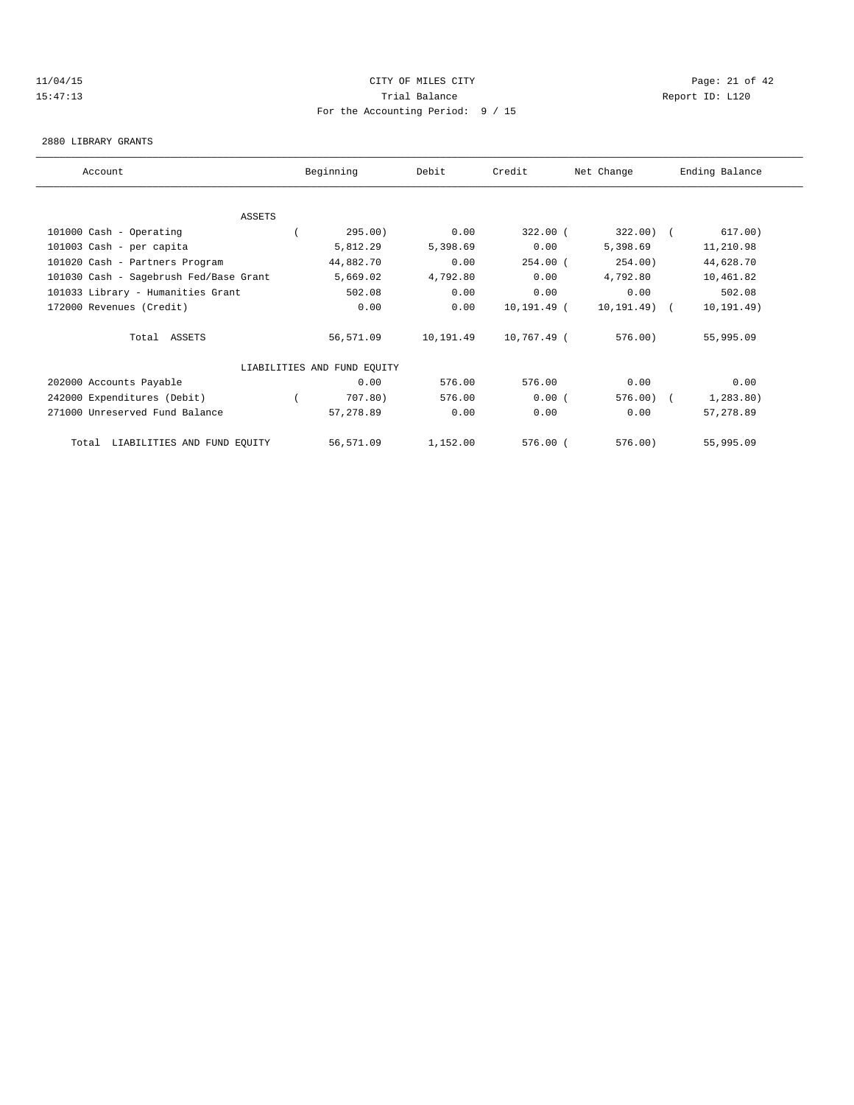## 11/04/15 Page: 21 of 42 15:47:13 Trial Balance Report ID: L120 For the Accounting Period: 9 / 15

#### 2880 LIBRARY GRANTS

| Account                                | Beginning                   | Debit          | Credit      | Net Change   | Ending Balance           |
|----------------------------------------|-----------------------------|----------------|-------------|--------------|--------------------------|
|                                        |                             |                |             |              |                          |
| <b>ASSETS</b>                          |                             |                |             |              |                          |
| 101000 Cash - Operating                | 295.00)                     | 0.00           | $322.00$ (  | $322.00$ (   | 617.00)                  |
| 101003 Cash - per capita               | 5,812.29                    | 5,398.69       | 0.00        | 5,398.69     | 11,210.98                |
| 101020 Cash - Partners Program         | 44,882.70                   | 0.00           | $254.00$ (  | 254.00)      | 44,628.70                |
| 101030 Cash - Sagebrush Fed/Base Grant | 5,669.02                    | 4,792.80       | 0.00        | 4,792.80     | 10,461.82                |
| 101033 Library - Humanities Grant      | 502.08                      | 0.00           | 0.00        | 0.00         | 502.08                   |
| 172000 Revenues (Credit)               |                             | 0.00<br>0.00   | 10,191.49 ( | 10,191.49) ( | 10, 191.49)              |
| Total ASSETS                           | 56,571.09                   | 10,191.49      | 10,767.49 ( | 576.00)      | 55,995.09                |
|                                        | LIABILITIES AND FUND EQUITY |                |             |              |                          |
| 202000 Accounts Payable                |                             | 0.00<br>576.00 | 576.00      | 0.00         | 0.00                     |
| 242000 Expenditures (Debit)            | 707.80)                     | 576.00         | 0.00(       | 576.00       | 1, 283.80)<br>$\sqrt{2}$ |
| 271000 Unreserved Fund Balance         | 57,278.89                   | 0.00           | 0.00        | 0.00         | 57,278.89                |
| LIABILITIES AND FUND EQUITY<br>Total   | 56,571.09                   | 1,152.00       | $576.00$ (  | 576.00)      | 55,995.09                |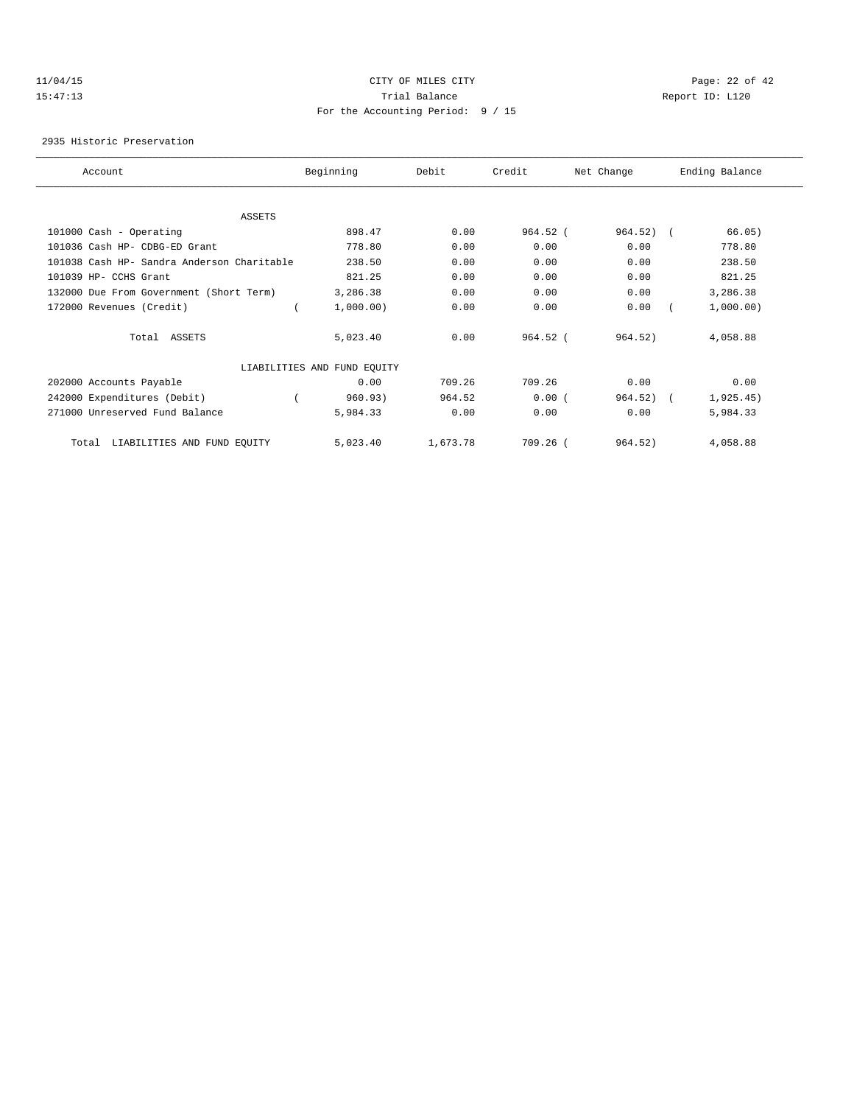## 11/04/15 Page: 22 of 42 15:47:13 Trial Balance Report ID: L120 For the Accounting Period: 9 / 15

2935 Historic Preservation

| Account                                    | Beginning                   | Debit    | Credit   | Net Change | Ending Balance |
|--------------------------------------------|-----------------------------|----------|----------|------------|----------------|
|                                            |                             |          |          |            |                |
| <b>ASSETS</b>                              |                             |          |          |            |                |
| 101000 Cash - Operating                    | 898.47                      | 0.00     | 964.52 ( | $964.52$ ( | 66.05)         |
| 101036 Cash HP- CDBG-ED Grant              | 778.80                      | 0.00     | 0.00     | 0.00       | 778.80         |
| 101038 Cash HP- Sandra Anderson Charitable | 238.50                      | 0.00     | 0.00     | 0.00       | 238.50         |
| 101039 HP- CCHS Grant                      | 821.25                      | 0.00     | 0.00     | 0.00       | 821.25         |
| 132000 Due From Government (Short Term)    | 3,286.38                    | 0.00     | 0.00     | 0.00       | 3,286.38       |
| 172000 Revenues (Credit)                   | 1,000.00)                   | 0.00     | 0.00     | 0.00       | 1,000.00)      |
| Total ASSETS                               | 5,023.40                    | 0.00     | 964.52 ( | 964.52)    | 4,058.88       |
|                                            | LIABILITIES AND FUND EQUITY |          |          |            |                |
| 202000 Accounts Payable                    | 0.00                        | 709.26   | 709.26   | 0.00       | 0.00           |
| 242000 Expenditures (Debit)                | 960.93)                     | 964.52   | 0.00(    | 964.52)    | 1,925.45)      |
| 271000 Unreserved Fund Balance             | 5,984.33                    | 0.00     | 0.00     | 0.00       | 5,984.33       |
| LIABILITIES AND FUND EQUITY<br>Total       | 5,023.40                    | 1,673.78 | 709.26 ( | 964.52)    | 4,058.88       |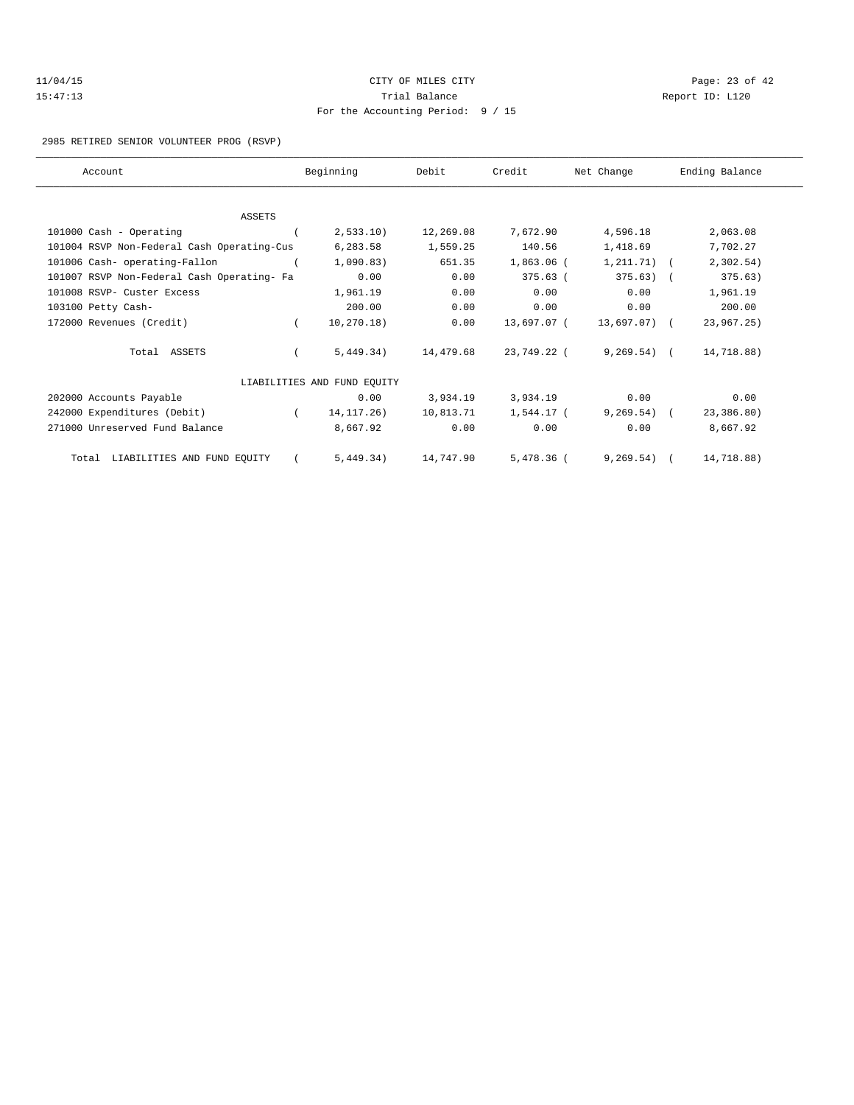| 11/04/15 | CITY OF MILES CITY                | Page: 23 of 42  |
|----------|-----------------------------------|-----------------|
| 15:47:13 | Trial Balance                     | Report ID: L120 |
|          | For the Accounting Period: 9 / 15 |                 |

2985 RETIRED SENIOR VOLUNTEER PROG (RSVP)

| Account                                    |            | Beginning                   | Debit     | Credit       | Net Change     | Ending Balance |  |
|--------------------------------------------|------------|-----------------------------|-----------|--------------|----------------|----------------|--|
|                                            |            |                             |           |              |                |                |  |
| ASSETS                                     |            |                             |           |              |                |                |  |
| 101000 Cash - Operating                    |            | 2,533.10)                   | 12,269.08 | 7,672.90     | 4,596.18       | 2,063.08       |  |
| 101004 RSVP Non-Federal Cash Operating-Cus |            | 6,283.58                    | 1,559.25  | 140.56       | 1,418.69       | 7,702.27       |  |
| 101006 Cash- operating-Fallon              |            | 1,090.83)                   | 651.35    | $1,863.06$ ( | $1, 211.71)$ ( | 2,302.54)      |  |
| 101007 RSVP Non-Federal Cash Operating- Fa |            | 0.00                        | 0.00      | $375.63$ (   | $375.63$ (     | 375.63)        |  |
| 101008 RSVP- Custer Excess                 |            | 1,961.19                    | 0.00      | 0.00         | 0.00           | 1,961.19       |  |
| 103100 Petty Cash-                         |            | 200.00                      | 0.00      | 0.00         | 0.00           | 200.00         |  |
| 172000 Revenues (Credit)                   |            | 10, 270.18)                 | 0.00      | 13,697.07 (  | 13,697.07) (   | 23,967.25)     |  |
| Total ASSETS                               |            | 5,449,34)                   | 14,479.68 | 23,749.22 (  | $9,269.54$ (   | 14,718.88)     |  |
|                                            |            | LIABILITIES AND FUND EQUITY |           |              |                |                |  |
| 202000 Accounts Payable                    |            | 0.00                        | 3,934.19  | 3,934.19     | 0.00           | 0.00           |  |
| 242000 Expenditures (Debit)                | $\sqrt{2}$ | 14, 117. 26)                | 10,813.71 | 1,544.17 (   | $9,269.54$ (   | 23,386.80)     |  |
| 271000 Unreserved Fund Balance             |            | 8,667.92                    | 0.00      | 0.00         | 0.00           | 8,667.92       |  |
| Total LIABILITIES AND FUND EQUITY          |            | 5,449.34)                   | 14,747.90 | 5,478.36 (   | $9,269.54$ (   | 14,718.88)     |  |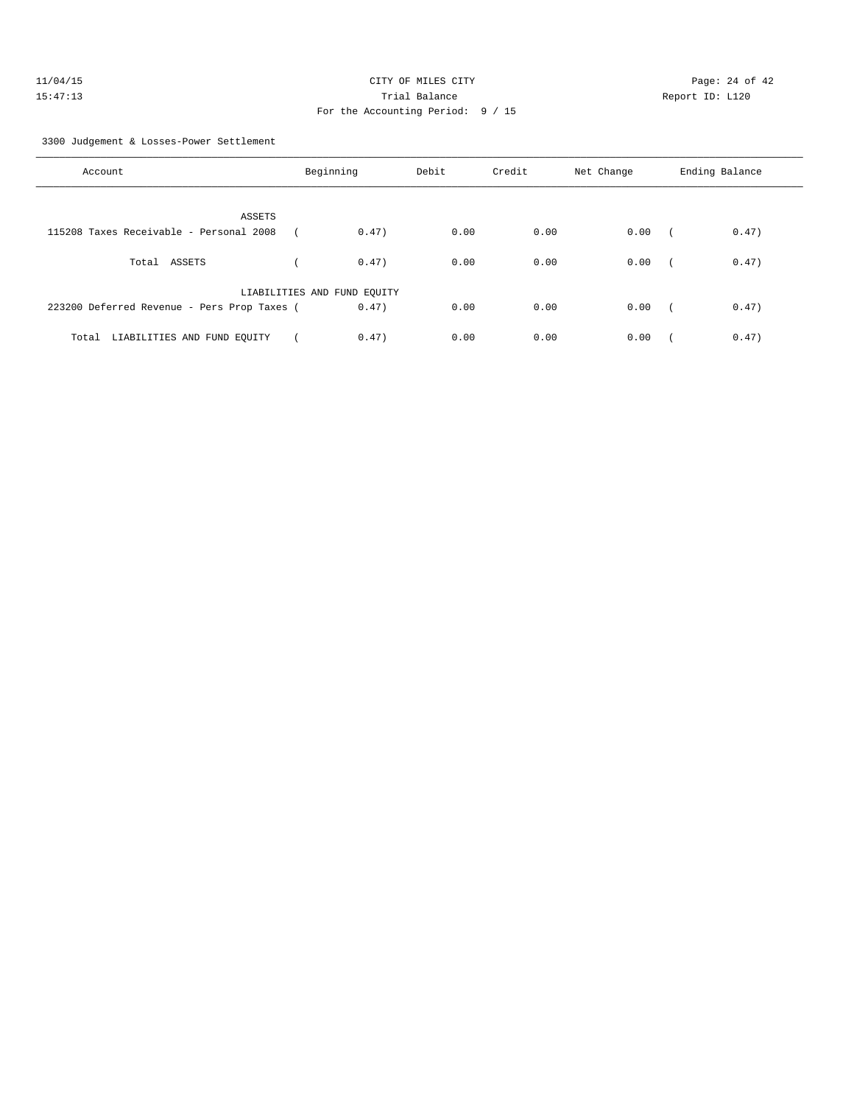| 11/04/15 | CITY OF MILES CITY                | Page: 24 of 42  |  |
|----------|-----------------------------------|-----------------|--|
| 15:47:13 | Trial Balance                     | Report ID: L120 |  |
|          | For the Accounting Period: 9 / 15 |                 |  |

3300 Judgement & Losses-Power Settlement

| Account                                     | Beginning                   | Debit | Credit | Net Change | Ending Balance      |
|---------------------------------------------|-----------------------------|-------|--------|------------|---------------------|
| ASSETS                                      |                             |       |        |            |                     |
| 115208 Taxes Receivable - Personal 2008     | 0.47)                       | 0.00  | 0.00   | 0.00       | 0.47)<br>$\sqrt{2}$ |
| ASSETS<br>Total                             | 0.47)                       | 0.00  | 0.00   | 0.00       | 0.47)               |
|                                             | LIABILITIES AND FUND EQUITY |       |        |            |                     |
| 223200 Deferred Revenue - Pers Prop Taxes ( | 0.47)                       | 0.00  | 0.00   | 0.00       | 0.47)               |
| LIABILITIES AND FUND EQUITY<br>Total        | 0.47)                       | 0.00  | 0.00   | 0.00       | 0.47)               |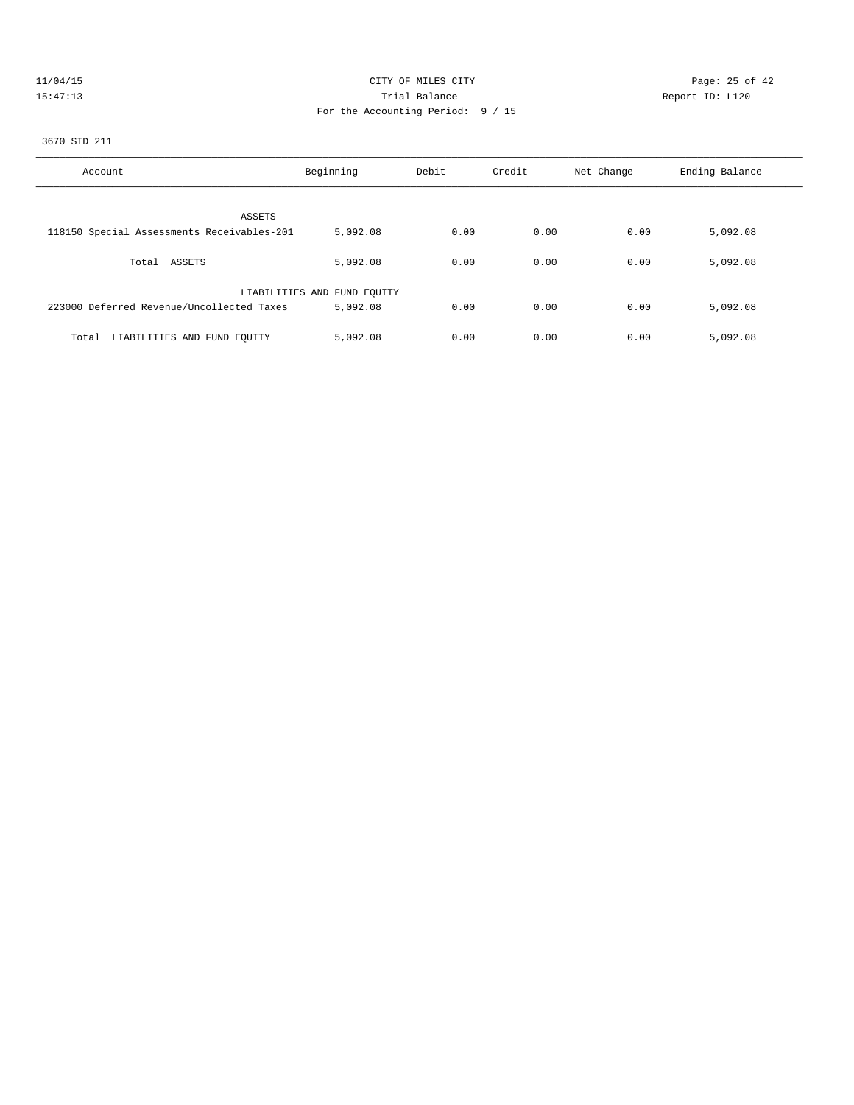|  | $\prime$ | 04/ |  |  |
|--|----------|-----|--|--|
|  |          |     |  |  |

# CITY OF MILES CITY CONTROL CONTROL CONTROL CITY CONTROL PAGE: 25 of 42 15:47:13 Trial Balance Report ID: L120 For the Accounting Period: 9 / 15

3670 SID 211

| Account                                    | Beginning                   | Debit | Credit | Net Change | Ending Balance |
|--------------------------------------------|-----------------------------|-------|--------|------------|----------------|
| ASSETS                                     |                             |       |        |            |                |
|                                            |                             |       |        |            |                |
| 118150 Special Assessments Receivables-201 | 5,092.08                    | 0.00  | 0.00   | 0.00       | 5,092.08       |
|                                            |                             |       |        |            |                |
| Total ASSETS                               | 5,092.08                    | 0.00  | 0.00   | 0.00       | 5,092.08       |
|                                            |                             |       |        |            |                |
|                                            |                             |       |        |            |                |
|                                            | LIABILITIES AND FUND EQUITY |       |        |            |                |
| 223000 Deferred Revenue/Uncollected Taxes  | 5,092.08                    | 0.00  | 0.00   | 0.00       | 5,092.08       |
|                                            |                             |       |        |            |                |
|                                            |                             |       |        |            |                |
| LIABILITIES AND FUND EQUITY<br>Total       | 5,092.08                    | 0.00  | 0.00   | 0.00       | 5,092.08       |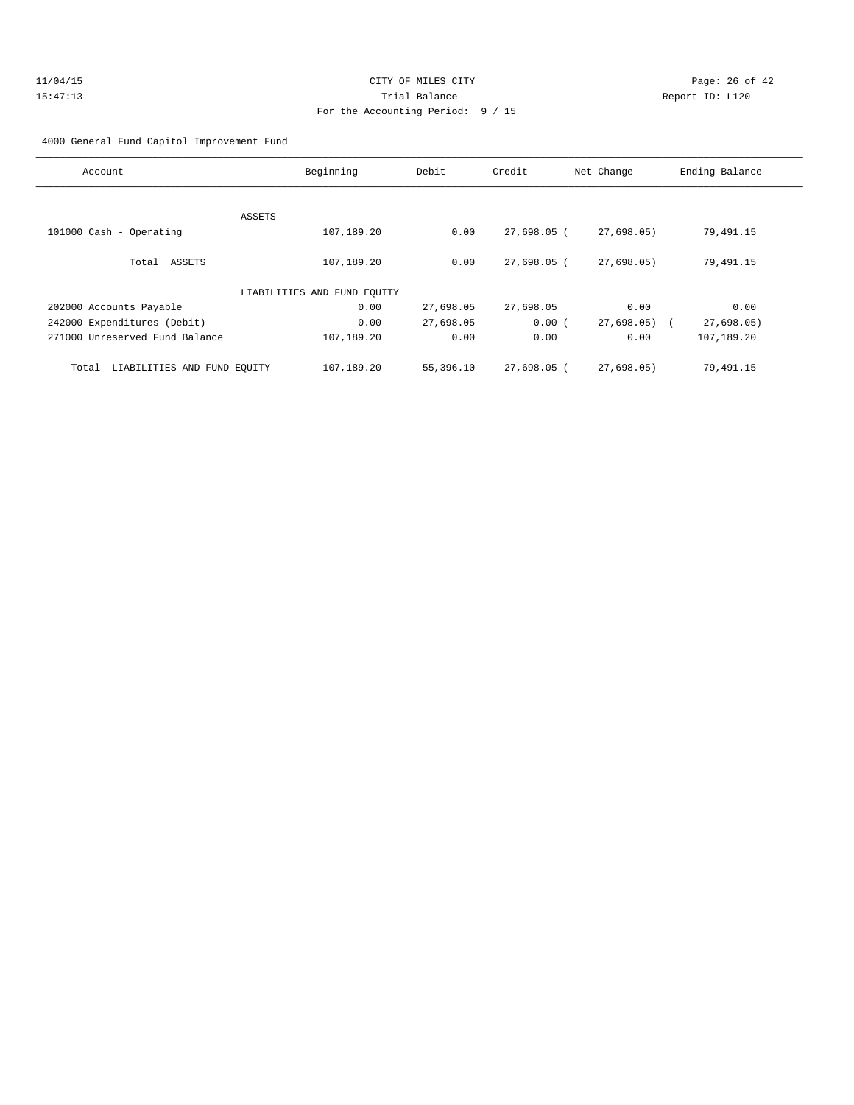## 4000 General Fund Capitol Improvement Fund

| Account                              | Beginning                   | Debit     | Credit        | Net Change | Ending Balance |
|--------------------------------------|-----------------------------|-----------|---------------|------------|----------------|
|                                      |                             |           |               |            |                |
|                                      | ASSETS                      |           |               |            |                |
| 101000 Cash - Operating              | 107,189.20                  | 0.00      | 27,698.05 (   | 27,698.05) | 79,491.15      |
| Total ASSETS                         | 107,189.20                  | 0.00      | 27,698.05 (   | 27,698.05) | 79,491.15      |
|                                      | LIABILITIES AND FUND EQUITY |           |               |            |                |
| 202000 Accounts Payable              | 0.00                        | 27,698.05 | 27,698.05     | 0.00       | 0.00           |
| 242000 Expenditures (Debit)          | 0.00                        | 27,698.05 | 0.00(         | 27,698.05  | 27,698.05      |
| 271000 Unreserved Fund Balance       | 107,189.20                  | 0.00      | 0.00          | 0.00       | 107,189.20     |
| LIABILITIES AND FUND EQUITY<br>Total | 107,189.20                  | 55,396.10 | $27,698.05$ ( | 27.698.05  | 79,491.15      |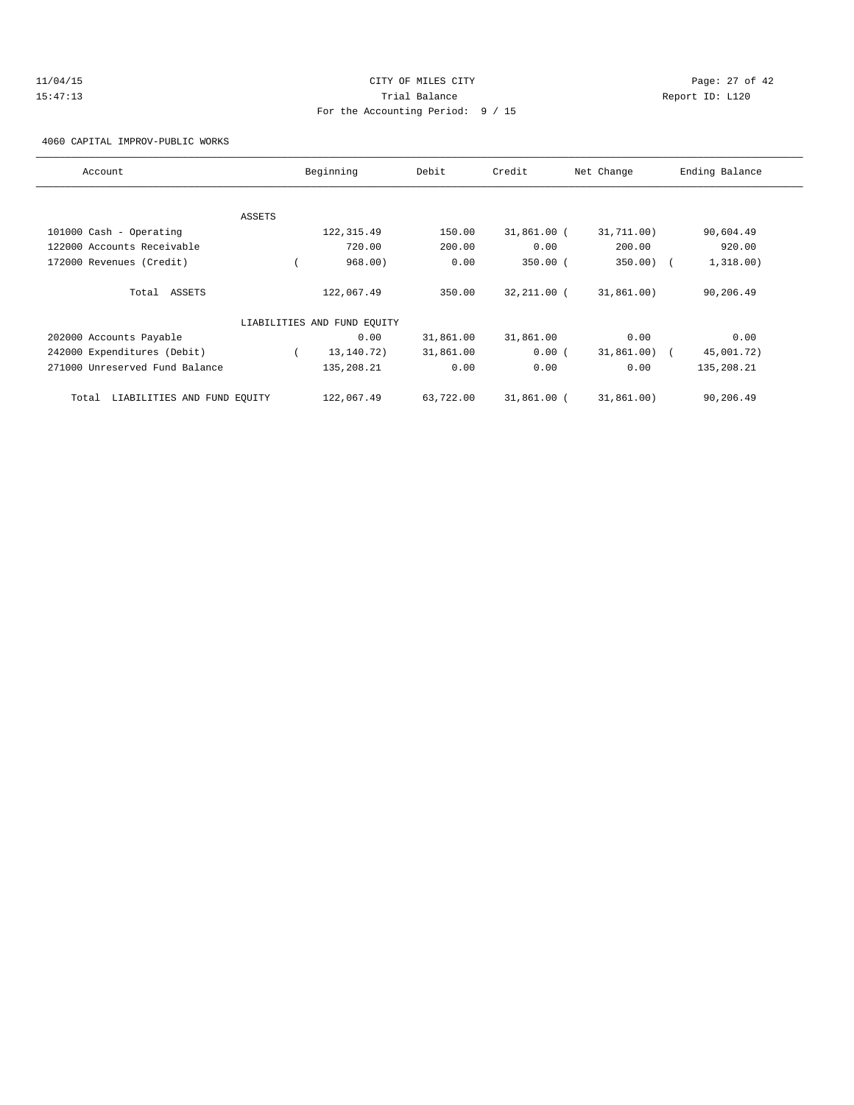# 11/04/15 Page: 27 of 42 15:47:13 Trial Balance Report ID: L120 For the Accounting Period: 9 / 15

4060 CAPITAL IMPROV-PUBLIC WORKS

| Account                              |        | Beginning                   | Debit     | Credit      | Net Change | Ending Balance |
|--------------------------------------|--------|-----------------------------|-----------|-------------|------------|----------------|
|                                      |        |                             |           |             |            |                |
|                                      | ASSETS |                             |           |             |            |                |
| 101000 Cash - Operating              |        | 122, 315.49                 | 150.00    | 31,861.00 ( | 31,711.00) | 90,604.49      |
| 122000 Accounts Receivable           |        | 720.00                      | 200.00    | 0.00        | 200.00     | 920.00         |
| 172000 Revenues (Credit)             |        | 968.00)                     | 0.00      | $350.00$ (  | 350.00)    | 1,318.00)      |
| Total ASSETS                         |        | 122,067.49                  | 350.00    | 32,211.00 ( | 31,861,00) | 90,206.49      |
|                                      |        | LIABILITIES AND FUND EQUITY |           |             |            |                |
| 202000 Accounts Payable              |        | 0.00                        | 31,861.00 | 31,861.00   | 0.00       | 0.00           |
| 242000 Expenditures (Debit)          |        | 13, 140. 72)                | 31,861.00 | 0.00(       | 31,861.00) | 45,001.72)     |
| 271000 Unreserved Fund Balance       |        | 135,208.21                  | 0.00      | 0.00        | 0.00       | 135,208.21     |
| LIABILITIES AND FUND EQUITY<br>Total |        | 122,067.49                  | 63,722.00 | 31,861.00 ( | 31,861.00) | 90,206.49      |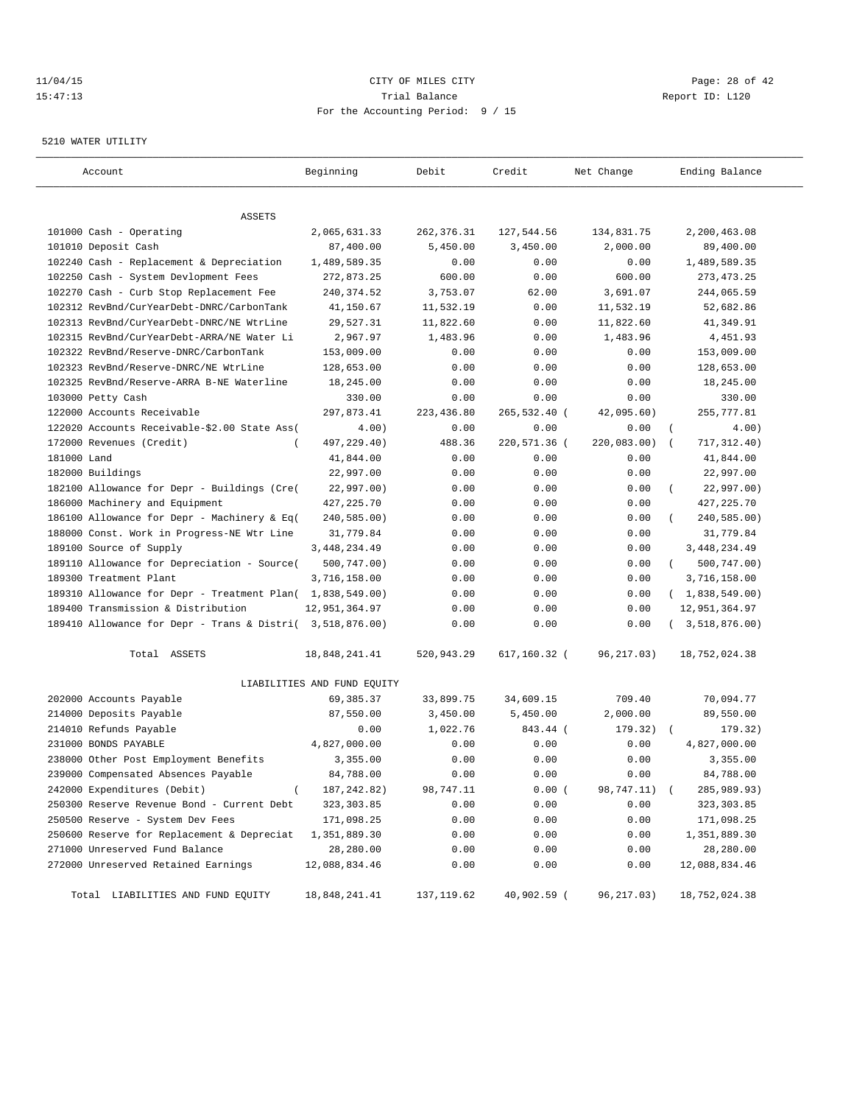## $11/04/15$  Page: 28 of 42 15:47:13 Trial Balance Report ID: L120 For the Accounting Period: 9 / 15

### 5210 WATER UTILITY

| Account                                                   | Beginning                   | Debit       | Credit       | Net Change   | Ending Balance            |
|-----------------------------------------------------------|-----------------------------|-------------|--------------|--------------|---------------------------|
| ASSETS                                                    |                             |             |              |              |                           |
| 101000 Cash - Operating                                   | 2,065,631.33                | 262, 376.31 | 127,544.56   | 134,831.75   | 2,200,463.08              |
| 101010 Deposit Cash                                       | 87,400.00                   | 5,450.00    | 3,450.00     | 2,000.00     | 89,400.00                 |
| 102240 Cash - Replacement & Depreciation                  | 1,489,589.35                | 0.00        | 0.00         | 0.00         | 1,489,589.35              |
| 102250 Cash - System Devlopment Fees                      | 272,873.25                  | 600.00      | 0.00         | 600.00       | 273, 473. 25              |
| 102270 Cash - Curb Stop Replacement Fee                   | 240, 374.52                 | 3,753.07    | 62.00        | 3,691.07     | 244,065.59                |
| 102312 RevBnd/CurYearDebt-DNRC/CarbonTank                 | 41,150.67                   | 11,532.19   | 0.00         | 11,532.19    | 52,682.86                 |
| 102313 RevBnd/CurYearDebt-DNRC/NE WtrLine                 | 29,527.31                   | 11,822.60   | 0.00         | 11,822.60    | 41,349.91                 |
| 102315 RevBnd/CurYearDebt-ARRA/NE Water Li                | 2,967.97                    | 1,483.96    | 0.00         | 1,483.96     | 4,451.93                  |
| 102322 RevBnd/Reserve-DNRC/CarbonTank                     | 153,009.00                  | 0.00        | 0.00         | 0.00         | 153,009.00                |
| 102323 RevBnd/Reserve-DNRC/NE WtrLine                     | 128,653.00                  | 0.00        | 0.00         | 0.00         | 128,653.00                |
| 102325 RevBnd/Reserve-ARRA B-NE Waterline                 | 18,245.00                   | 0.00        | 0.00         | 0.00         | 18,245.00                 |
| 103000 Petty Cash                                         | 330.00                      | 0.00        | 0.00         | 0.00         | 330.00                    |
| 122000 Accounts Receivable                                | 297,873.41                  | 223,436.80  | 265,532.40 ( | 42,095.60)   | 255,777.81                |
| 122020 Accounts Receivable-\$2.00 State Ass(              | 4.00)                       | 0.00        | 0.00         | 0.00         | $\left($<br>4.00)         |
| 172000 Revenues (Credit)<br>$\overline{ }$                | 497,229.40)                 | 488.36      | 220,571.36 ( | 220,083.00)  | 717,312.40)<br>$\sqrt{ }$ |
| 181000 Land                                               | 41,844.00                   | 0.00        | 0.00         | 0.00         | 41,844.00                 |
| 182000 Buildings                                          | 22,997.00                   | 0.00        | 0.00         | 0.00         | 22,997.00                 |
| 182100 Allowance for Depr - Buildings (Cre(               | 22,997.00)                  | 0.00        | 0.00         | 0.00         | 22,997.00)                |
| 186000 Machinery and Equipment                            | 427, 225.70                 | 0.00        | 0.00         | 0.00         | 427, 225.70               |
| 186100 Allowance for Depr - Machinery & Eq(               | 240,585.00)                 | 0.00        | 0.00         | 0.00         | 240,585.00)               |
| 188000 Const. Work in Progress-NE Wtr Line                | 31,779.84                   | 0.00        | 0.00         | 0.00         | 31,779.84                 |
| 189100 Source of Supply                                   | 3,448,234.49                | 0.00        | 0.00         | 0.00         | 3, 448, 234.49            |
| 189110 Allowance for Depreciation - Source(               | 500,747.00)                 | 0.00        | 0.00         | 0.00         | 500,747.00)<br>$\left($   |
| 189300 Treatment Plant                                    | 3,716,158.00                | 0.00        | 0.00         | 0.00         | 3,716,158.00              |
| 189310 Allowance for Depr - Treatment Plan( 1,838,549.00) |                             | 0.00        | 0.00         | 0.00         | (1,838,549.00)            |
| 189400 Transmission & Distribution                        | 12,951,364.97               | 0.00        | 0.00         | 0.00         | 12,951,364.97             |
| 189410 Allowance for Depr - Trans & Distri( 3,518,876.00) |                             | 0.00        | 0.00         | 0.00         | (3,518,876.00)            |
| Total ASSETS                                              | 18,848,241.41               | 520,943.29  | 617,160.32 ( | 96,217.03)   | 18,752,024.38             |
|                                                           | LIABILITIES AND FUND EQUITY |             |              |              |                           |
| 202000 Accounts Payable                                   | 69,385.37                   | 33,899.75   | 34,609.15    | 709.40       | 70,094.77                 |
| 214000 Deposits Payable                                   | 87,550.00                   | 3,450.00    | 5,450.00     | 2,000.00     | 89,550.00                 |
| 214010 Refunds Payable                                    | 0.00                        | 1,022.76    | 843.44 (     | 179.32)      | 179.32)                   |
| 231000 BONDS PAYABLE                                      | 4,827,000.00                | 0.00        | 0.00         | 0.00         | 4,827,000.00              |
| 238000 Other Post Employment Benefits                     | 3,355.00                    | 0.00        | 0.00         | 0.00         | 3,355.00                  |
| 239000 Compensated Absences Payable                       | 84,788.00                   | 0.00        | 0.00         | 0.00         | 84,788.00                 |
| 242000 Expenditures (Debit)<br>$\left($                   | 187, 242.82)                | 98,747.11   | 0.00(        | 98,747.11) ( | 285,989.93)               |
| 250300 Reserve Revenue Bond - Current Debt                | 323, 303.85                 | 0.00        | 0.00         | 0.00         | 323,303.85                |
| 250500 Reserve - System Dev Fees                          | 171,098.25                  | 0.00        | 0.00         | 0.00         | 171,098.25                |
| 250600 Reserve for Replacement & Depreciat                | 1,351,889.30                | 0.00        | 0.00         | 0.00         | 1,351,889.30              |
| 271000 Unreserved Fund Balance                            | 28,280.00                   | 0.00        | 0.00         | 0.00         | 28,280.00                 |
| 272000 Unreserved Retained Earnings                       | 12,088,834.46               | 0.00        | 0.00         | 0.00         | 12,088,834.46             |
| Total LIABILITIES AND FUND EQUITY                         | 18,848,241.41               | 137,119.62  | 40,902.59 (  | 96,217.03)   | 18,752,024.38             |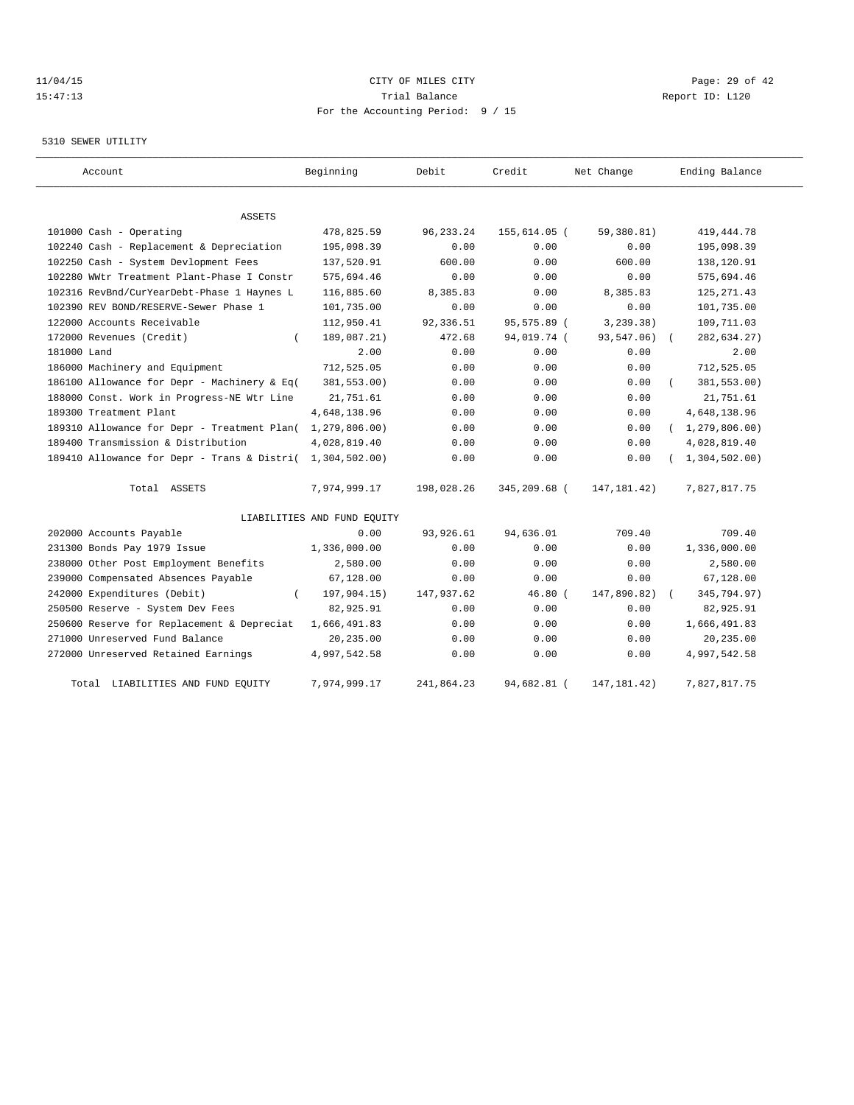## $11/04/15$  Page: 29 of 42 15:47:13 Trial Balance Report ID: L120 For the Accounting Period: 9 / 15

## 5310 SEWER UTILITY

| Account                                     | Beginning                   | Debit       | Credit       | Net Change    | Ending Balance   |
|---------------------------------------------|-----------------------------|-------------|--------------|---------------|------------------|
| <b>ASSETS</b>                               |                             |             |              |               |                  |
| 101000 Cash - Operating                     | 478,825.59                  | 96, 233. 24 | 155,614.05 ( | 59,380.81)    | 419, 444.78      |
| 102240 Cash - Replacement & Depreciation    | 195,098.39                  | 0.00        | 0.00         | 0.00          | 195,098.39       |
| 102250 Cash - System Devlopment Fees        | 137,520.91                  | 600.00      | 0.00         | 600.00        | 138,120.91       |
| 102280 WWtr Treatment Plant-Phase I Constr  | 575,694.46                  | 0.00        | 0.00         | 0.00          | 575,694.46       |
| 102316 RevBnd/CurYearDebt-Phase 1 Haynes L  | 116,885.60                  | 8,385.83    | 0.00         | 8,385.83      | 125, 271.43      |
| 102390 REV BOND/RESERVE-Sewer Phase 1       | 101,735.00                  | 0.00        | 0.00         | 0.00          | 101,735.00       |
| 122000 Accounts Receivable                  | 112,950.41                  | 92,336.51   | 95,575.89 (  | 3, 239.38)    | 109,711.03       |
| 172000 Revenues (Credit)                    | 189,087.21)                 | 472.68      | 94,019.74 (  | 93,547.06)    | 282,634.27)      |
| 181000 Land                                 | 2.00                        | 0.00        | 0.00         | 0.00          | 2.00             |
| 186000 Machinery and Equipment              | 712,525.05                  | 0.00        | 0.00         | 0.00          | 712,525.05       |
| 186100 Allowance for Depr - Machinery & Eq( | 381,553.00)                 | 0.00        | 0.00         | 0.00          | 381,553.00)      |
| 188000 Const. Work in Progress-NE Wtr Line  | 21,751.61                   | 0.00        | 0.00         | 0.00          | 21,751.61        |
| 189300 Treatment Plant                      | 4,648,138.96                | 0.00        | 0.00         | 0.00          | 4,648,138.96     |
| 189310 Allowance for Depr - Treatment Plan( | 1, 279, 806.00              | 0.00        | 0.00         | 0.00          | (1, 279, 806.00) |
| 189400 Transmission & Distribution          | 4,028,819.40                | 0.00        | 0.00         | 0.00          | 4,028,819.40     |
| 189410 Allowance for Depr - Trans & Distri( | 1,304,502.00                | 0.00        | 0.00         | 0.00          | 1,304,502.00     |
| Total ASSETS                                | 7,974,999.17                | 198,028.26  | 345,209.68 ( | 147, 181.42)  | 7,827,817.75     |
|                                             | LIABILITIES AND FUND EQUITY |             |              |               |                  |
| 202000 Accounts Payable                     | 0.00                        | 93,926.61   | 94,636.01    | 709.40        | 709.40           |
| 231300 Bonds Pay 1979 Issue                 | 1,336,000.00                | 0.00        | 0.00         | 0.00          | 1,336,000.00     |
| 238000 Other Post Employment Benefits       | 2,580.00                    | 0.00        | 0.00         | 0.00          | 2,580.00         |
| 239000 Compensated Absences Payable         | 67,128.00                   | 0.00        | 0.00         | 0.00          | 67,128.00        |
| 242000 Expenditures (Debit)                 | 197,904.15)                 | 147,937.62  | $46.80$ (    | 147,890.82)   | 345,794.97)      |
| 250500 Reserve - System Dev Fees            | 82,925.91                   | 0.00        | 0.00         | 0.00          | 82,925.91        |
| 250600 Reserve for Replacement & Depreciat  | 1,666,491.83                | 0.00        | 0.00         | 0.00          | 1,666,491.83     |
| 271000 Unreserved Fund Balance              | 20,235.00                   | 0.00        | 0.00         | 0.00          | 20,235.00        |
| 272000 Unreserved Retained Earnings         | 4,997,542.58                | 0.00        | 0.00         | 0.00          | 4,997,542.58     |
| Total LIABILITIES AND FUND EQUITY           | 7,974,999.17                | 241,864.23  | 94,682.81 (  | 147, 181. 42) | 7,827,817.75     |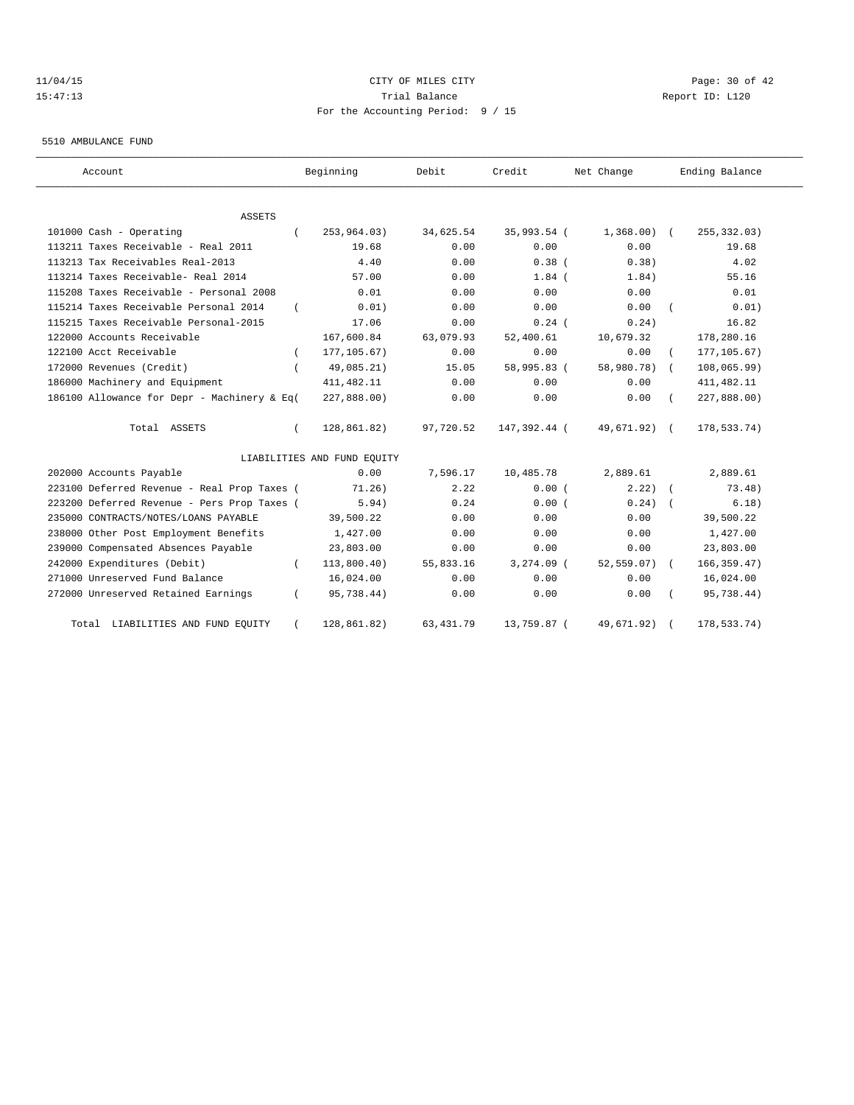## 11/04/15 Page: 30 of 42 15:47:13 Trial Balance Report ID: L120 For the Accounting Period: 9 / 15

#### 5510 AMBULANCE FUND

| Account                                     | Beginning                   | Debit      | Credit       | Net Change     | Ending Balance |
|---------------------------------------------|-----------------------------|------------|--------------|----------------|----------------|
| ASSETS                                      |                             |            |              |                |                |
| 101000 Cash - Operating                     | 253,964.03)                 | 34,625.54  | 35,993.54 (  | $1,368.00$ (   | 255, 332.03)   |
| 113211 Taxes Receivable - Real 2011         | 19.68                       | 0.00       | 0.00         | 0.00           | 19.68          |
| 113213 Tax Receivables Real-2013            | 4.40                        | 0.00       | 0.38(        | 0.38)          | 4.02           |
| 113214 Taxes Receivable- Real 2014          | 57.00                       | 0.00       | $1.84$ (     | 1.84)          | 55.16          |
| 115208 Taxes Receivable - Personal 2008     | 0.01                        | 0.00       | 0.00         | 0.00           | 0.01           |
| 115214 Taxes Receivable Personal 2014       | 0.01)                       | 0.00       | 0.00         | 0.00           | 0.01)          |
| 115215 Taxes Receivable Personal-2015       | 17.06                       | 0.00       | $0.24$ (     | 0.24)          | 16.82          |
| 122000 Accounts Receivable                  | 167,600.84                  | 63,079.93  | 52,400.61    | 10,679.32      | 178,280.16     |
| 122100 Acct Receivable                      | 177, 105.67)                | 0.00       | 0.00         | 0.00           | 177, 105.67)   |
| 172000 Revenues (Credit)                    | 49,085.21)                  | 15.05      | 58,995.83 (  | 58,980.78)     | 108,065.99)    |
| 186000 Machinery and Equipment              | 411, 482.11                 | 0.00       | 0.00         | 0.00           | 411, 482.11    |
| 186100 Allowance for Depr - Machinery & Eq( | 227,888.00)                 | 0.00       | 0.00         | 0.00           | 227,888.00)    |
| Total ASSETS                                | 128,861.82)                 | 97,720.52  | 147,392.44 ( | 49,671.92) (   | 178,533.74)    |
|                                             | LIABILITIES AND FUND EQUITY |            |              |                |                |
| 202000 Accounts Payable                     | 0.00                        | 7,596.17   | 10,485.78    | 2,889.61       | 2,889.61       |
| 223100 Deferred Revenue - Real Prop Taxes ( | 71.26)                      | 2.22       | 0.00(        | 2.22           | 73.48)         |
| 223200 Deferred Revenue - Pers Prop Taxes ( | 5.94)                       | 0.24       | 0.00(        | $0.24$ $($     | 6.18)          |
| 235000 CONTRACTS/NOTES/LOANS PAYABLE        | 39,500.22                   | 0.00       | 0.00         | 0.00           | 39,500.22      |
| 238000 Other Post Employment Benefits       | 1,427.00                    | 0.00       | 0.00         | 0.00           | 1,427.00       |
| 239000 Compensated Absences Payable         | 23,803.00                   | 0.00       | 0.00         | 0.00           | 23,803.00      |
| 242000 Expenditures (Debit)                 | 113,800.40)                 | 55,833.16  | $3,274.09$ ( | $52, 559.07$ ( | 166, 359.47)   |
| 271000 Unreserved Fund Balance              | 16,024.00                   | 0.00       | 0.00         | 0.00           | 16,024.00      |
| 272000 Unreserved Retained Earnings         | 95,738.44)                  | 0.00       | 0.00         | 0.00           | 95,738.44)     |
| Total LIABILITIES AND FUND EQUITY           | 128,861.82)                 | 63, 431.79 | 13,759.87 (  | 49,671.92)     | 178,533.74)    |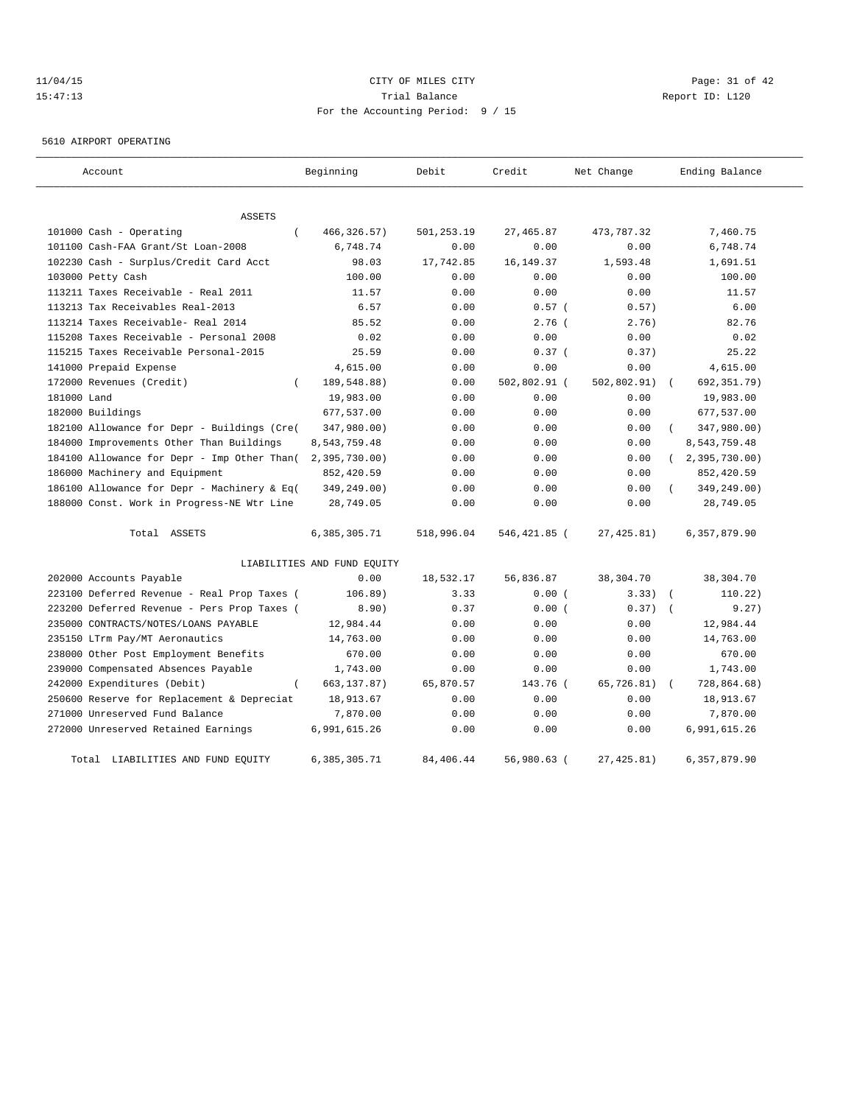# $CITY$   $CITY$   $CITY$   $PAGE: 31 of 42$ 15:47:13 Trial Balance Report ID: L120 For the Accounting Period: 9 / 15

5610 AIRPORT OPERATING

| Account                                     | Beginning                   | Debit      | Credit       | Net Change  | Ending Balance            |
|---------------------------------------------|-----------------------------|------------|--------------|-------------|---------------------------|
| ASSETS                                      |                             |            |              |             |                           |
| 101000 Cash - Operating<br>$\left($         | 466, 326.57)                | 501,253.19 | 27, 465.87   | 473,787.32  | 7,460.75                  |
| 101100 Cash-FAA Grant/St Loan-2008          | 6,748.74                    | 0.00       | 0.00         | 0.00        | 6,748.74                  |
| 102230 Cash - Surplus/Credit Card Acct      | 98.03                       | 17,742.85  | 16, 149. 37  | 1,593.48    | 1,691.51                  |
| 103000 Petty Cash                           | 100.00                      | 0.00       | 0.00         | 0.00        | 100.00                    |
| 113211 Taxes Receivable - Real 2011         | 11.57                       | 0.00       | 0.00         | 0.00        | 11.57                     |
| 113213 Tax Receivables Real-2013            | 6.57                        | 0.00       | 0.57(        | 0.57)       | 6.00                      |
| 113214 Taxes Receivable- Real 2014          | 85.52                       | 0.00       | $2.76$ (     | 2.76)       | 82.76                     |
| 115208 Taxes Receivable - Personal 2008     | 0.02                        | 0.00       | 0.00         | 0.00        | 0.02                      |
| 115215 Taxes Receivable Personal-2015       | 25.59                       | 0.00       | 0.37(        | 0.37)       | 25.22                     |
| 141000 Prepaid Expense                      | 4,615.00                    | 0.00       | 0.00         | 0.00        | 4,615.00                  |
| 172000 Revenues (Credit)<br>$\left($        | 189,548.88)                 | 0.00       | 502,802.91 ( | 502,802.91) | 692,351.79)<br>$\sqrt{2}$ |
| 181000 Land                                 | 19,983.00                   | 0.00       | 0.00         | 0.00        | 19,983.00                 |
| 182000 Buildings                            | 677,537.00                  | 0.00       | 0.00         | 0.00        | 677,537.00                |
| 182100 Allowance for Depr - Buildings (Cre( | 347,980.00)                 | 0.00       | 0.00         | 0.00        | 347,980.00)               |
| 184000 Improvements Other Than Buildings    | 8,543,759.48                | 0.00       | 0.00         | 0.00        | 8,543,759.48              |
| 184100 Allowance for Depr - Imp Other Than( | 2,395,730.00                | 0.00       | 0.00         | 0.00        | 2,395,730.00)<br>$\left($ |
| 186000 Machinery and Equipment              | 852,420.59                  | 0.00       | 0.00         | 0.00        | 852,420.59                |
| 186100 Allowance for Depr - Machinery & Eq( | 349,249.00)                 | 0.00       | 0.00         | 0.00        | 349,249.00)               |
| 188000 Const. Work in Progress-NE Wtr Line  | 28,749.05                   | 0.00       | 0.00         | 0.00        | 28,749.05                 |
| Total ASSETS                                | 6,385,305.71                | 518,996.04 | 546,421.85 ( | 27, 425.81) | 6,357,879.90              |
|                                             | LIABILITIES AND FUND EQUITY |            |              |             |                           |
| 202000 Accounts Payable                     | 0.00                        | 18,532.17  | 56,836.87    | 38,304.70   | 38,304.70                 |
| 223100 Deferred Revenue - Real Prop Taxes ( | 106.89)                     | 3.33       | 0.00(        | 3.33)       | 110.22)<br>$\sqrt{2}$     |
| 223200 Deferred Revenue - Pers Prop Taxes ( | 8.90)                       | 0.37       | 0.00(        | 0.37)       | 9.27)                     |
| 235000 CONTRACTS/NOTES/LOANS PAYABLE        | 12,984.44                   | 0.00       | 0.00         | 0.00        | 12,984.44                 |
| 235150 LTrm Pay/MT Aeronautics              | 14,763.00                   | 0.00       | 0.00         | 0.00        | 14,763.00                 |
| 238000 Other Post Employment Benefits       | 670.00                      | 0.00       | 0.00         | 0.00        | 670.00                    |
| 239000 Compensated Absences Payable         | 1,743.00                    | 0.00       | 0.00         | 0.00        | 1,743.00                  |
| $\left($<br>242000 Expenditures (Debit)     | 663, 137.87)                | 65,870.57  | 143.76 (     | 65,726.81)  | 728,864.68)               |
| 250600 Reserve for Replacement & Depreciat  | 18,913.67                   | 0.00       | 0.00         | 0.00        | 18,913.67                 |
| 271000 Unreserved Fund Balance              | 7,870.00                    | 0.00       | 0.00         | 0.00        | 7,870.00                  |
| 272000 Unreserved Retained Earnings         | 6,991,615.26                | 0.00       | 0.00         | 0.00        | 6,991,615.26              |
| Total LIABILITIES AND FUND EQUITY           | 6,385,305.71                | 84,406.44  | 56,980.63 (  | 27, 425.81) | 6,357,879.90              |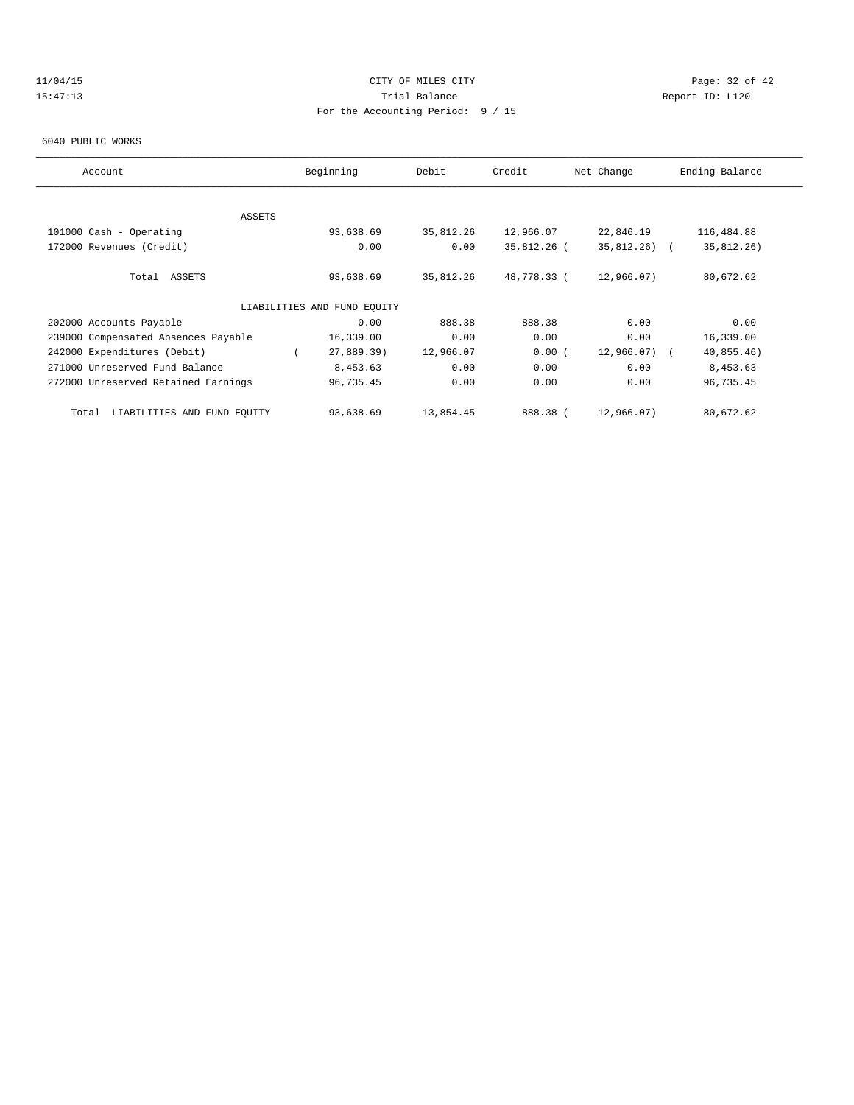# 11/04/15 **Page: 32 of 42 CITY OF MILES CITY CITY Page: 32 of 42** 15:47:13 Trial Balance Report ID: L120 For the Accounting Period: 9 / 15

#### 6040 PUBLIC WORKS

| Account                              | Beginning                   | Debit     | Credit      | Net Change    | Ending Balance |
|--------------------------------------|-----------------------------|-----------|-------------|---------------|----------------|
|                                      |                             |           |             |               |                |
| <b>ASSETS</b>                        |                             |           |             |               |                |
| 101000 Cash - Operating              | 93,638.69                   | 35,812.26 | 12,966.07   | 22,846.19     | 116,484.88     |
| 172000 Revenues (Credit)             | 0.00                        | 0.00      | 35,812.26 ( | $35,812,26$ ( | 35,812.26)     |
| Total ASSETS                         | 93,638.69                   | 35,812.26 | 48,778.33 ( | 12,966.07)    | 80,672.62      |
|                                      | LIABILITIES AND FUND EOUITY |           |             |               |                |
| 202000 Accounts Payable              | 0.00                        | 888.38    | 888.38      | 0.00          | 0.00           |
| 239000 Compensated Absences Payable  | 16,339.00                   | 0.00      | 0.00        | 0.00          | 16,339.00      |
| 242000 Expenditures (Debit)          | 27,889.39)                  | 12,966.07 | 0.00(       | $12,966.07$ ( | 40,855.46)     |
| 271000 Unreserved Fund Balance       | 8,453.63                    | 0.00      | 0.00        | 0.00          | 8,453.63       |
| 272000 Unreserved Retained Earnings  | 96,735.45                   | 0.00      | 0.00        | 0.00          | 96,735.45      |
| LIABILITIES AND FUND EOUITY<br>Total | 93,638.69                   | 13,854.45 | 888.38 (    | 12,966.07)    | 80,672.62      |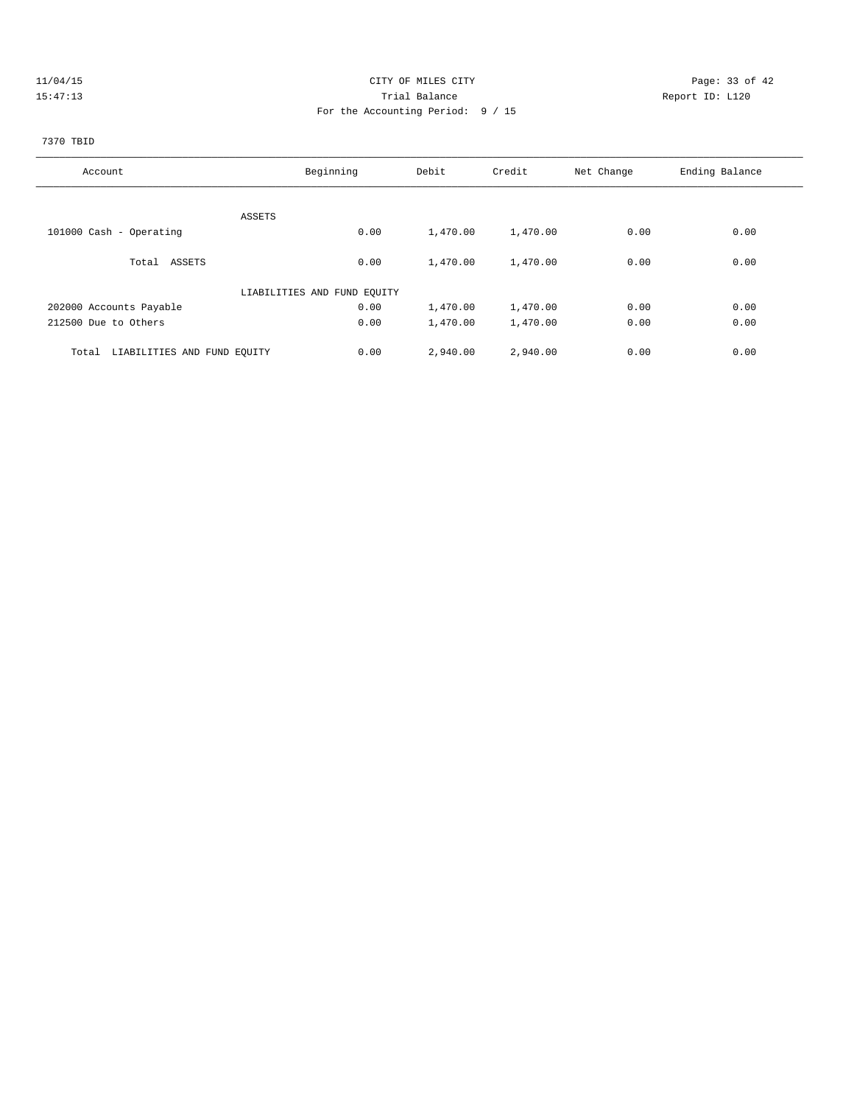# 11/04/15 Page: 33 of 42 15:47:13 Trial Balance Report ID: L120 For the Accounting Period: 9 / 15

# 7370 TBID

| Account                              | Beginning                   | Debit    | Credit   | Net Change | Ending Balance |
|--------------------------------------|-----------------------------|----------|----------|------------|----------------|
|                                      |                             |          |          |            |                |
| ASSETS                               |                             |          |          |            |                |
| 101000 Cash - Operating              | 0.00                        | 1,470.00 | 1,470.00 | 0.00       | 0.00           |
|                                      |                             |          |          |            |                |
| Total ASSETS                         | 0.00                        | 1,470.00 | 1,470.00 | 0.00       | 0.00           |
|                                      | LIABILITIES AND FUND EQUITY |          |          |            |                |
| 202000 Accounts Payable              | 0.00                        | 1,470.00 | 1,470.00 | 0.00       | 0.00           |
| 212500 Due to Others                 | 0.00                        | 1,470.00 | 1,470.00 | 0.00       | 0.00           |
|                                      |                             |          |          | 0.00       | 0.00           |
| LIABILITIES AND FUND EQUITY<br>Total | 0.00                        | 2,940.00 | 2,940.00 |            |                |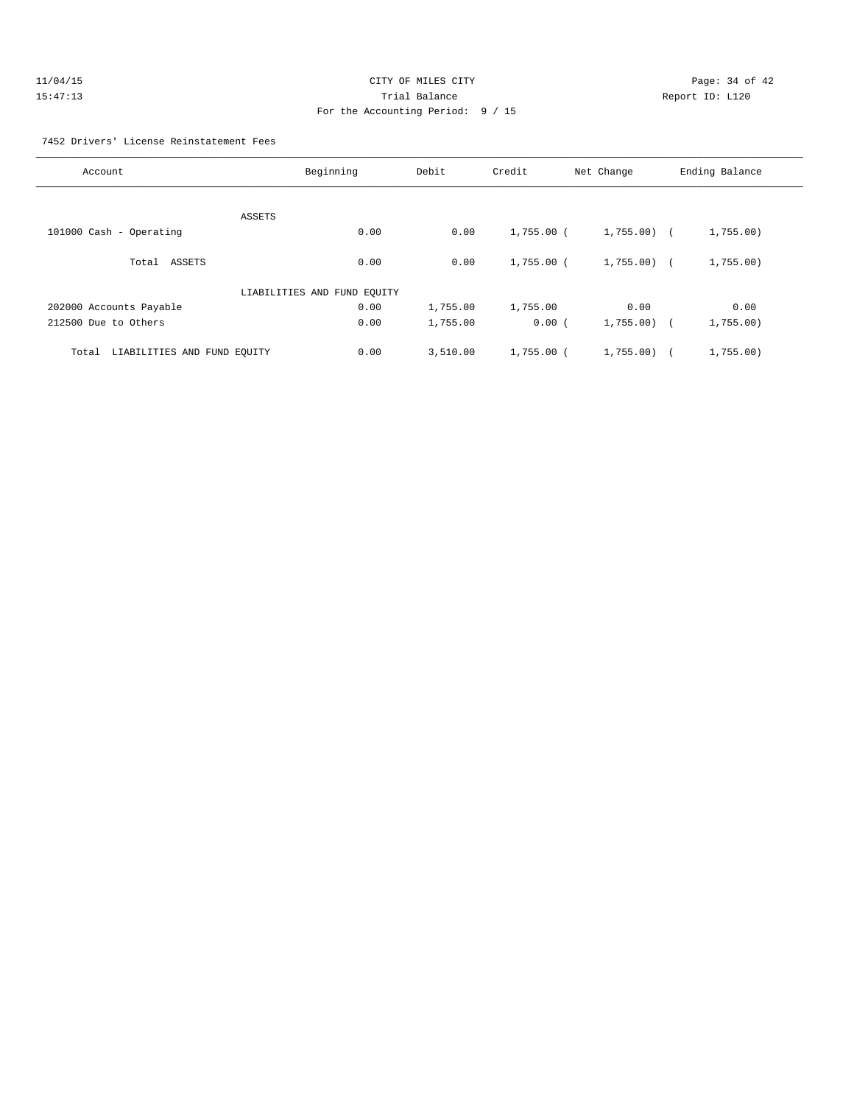| 11/04/15 | CITY OF MILES CITY                | Page: $34o$     |
|----------|-----------------------------------|-----------------|
| 15:47:13 | Trial Balance                     | Report ID: L120 |
|          | For the Accounting Period: 9 / 15 |                 |

Page: 34 of 42

### 7452 Drivers' License Reinstatement Fees

| Account                              | Beginning                   | Debit    | Credit       | Net Change   | Ending Balance |
|--------------------------------------|-----------------------------|----------|--------------|--------------|----------------|
|                                      |                             |          |              |              |                |
|                                      | ASSETS                      |          |              |              |                |
| 101000 Cash - Operating              | 0.00                        | 0.00     | 1,755.00 (   | $1,755.00$ ( | 1,755.00)      |
| Total ASSETS                         | 0.00                        | 0.00     | $1.755.00$ ( | $1,755.00$ ( | 1,755.00)      |
|                                      | LIABILITIES AND FUND EQUITY |          |              |              |                |
| 202000 Accounts Payable              | 0.00                        | 1,755.00 | 1,755.00     | 0.00         | 0.00           |
| 212500 Due to Others                 | 0.00                        | 1,755.00 | 0.00(        | $1,755.00$ ( | 1,755.00)      |
| LIABILITIES AND FUND EQUITY<br>Total | 0.00                        | 3,510.00 | $1,755.00$ ( | 1,755.00     | 1,755.00)      |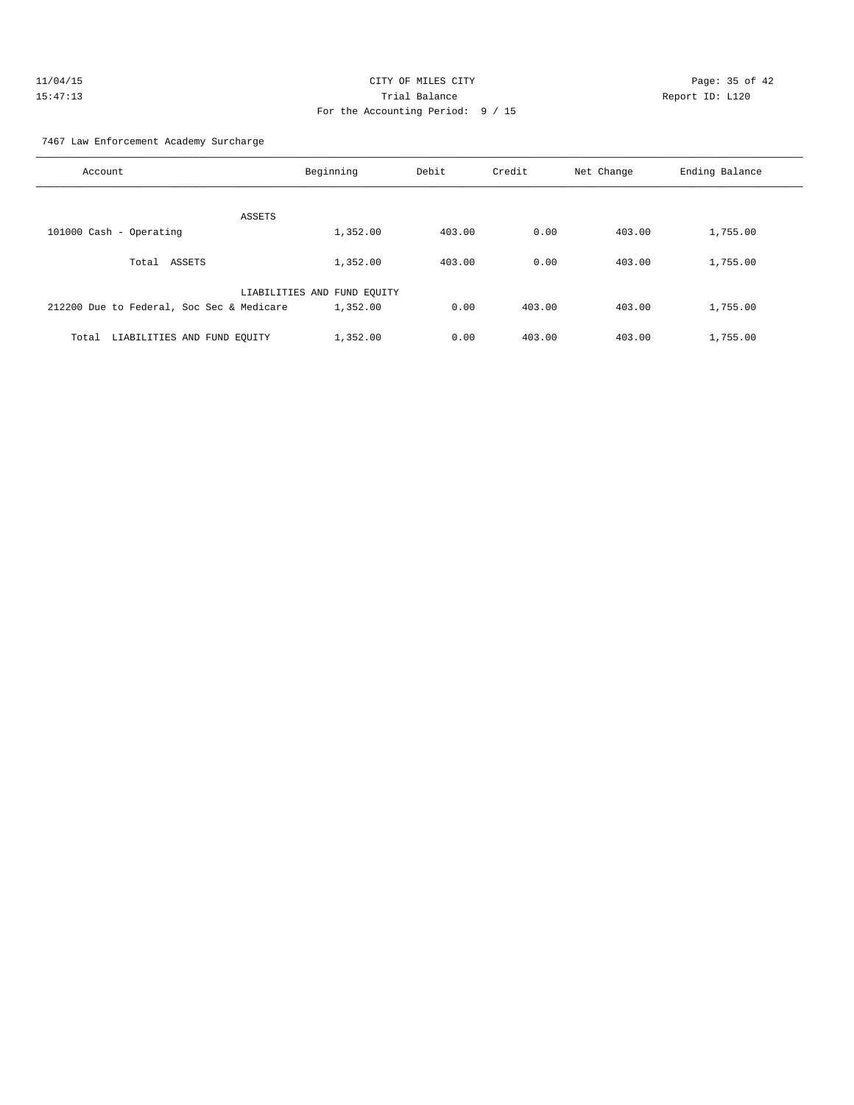| 11/04/15 | Page: 35 of 42<br>CITY OF MILES CITY |  |  |
|----------|--------------------------------------|--|--|
| 15:47:13 | Trial Balance<br>Report ID: L120     |  |  |
|          | For the Accounting Period: 9 / 15    |  |  |

7467 Law Enforcement Academy Surcharge

| Account                                   | Beginning                   | Debit  | Credit | Net Change | Ending Balance |
|-------------------------------------------|-----------------------------|--------|--------|------------|----------------|
| ASSETS                                    |                             |        |        |            |                |
| 101000 Cash - Operating                   | 1,352.00                    | 403.00 | 0.00   | 403.00     | 1,755.00       |
| ASSETS<br>Total                           | 1,352.00                    | 403.00 | 0.00   | 403.00     | 1,755.00       |
|                                           | LIABILITIES AND FUND EQUITY |        |        |            |                |
| 212200 Due to Federal, Soc Sec & Medicare | 1,352.00                    | 0.00   | 403.00 | 403.00     | 1,755.00       |
| LIABILITIES AND FUND EQUITY<br>Total      | 1,352.00                    | 0.00   | 403.00 | 403.00     | 1,755.00       |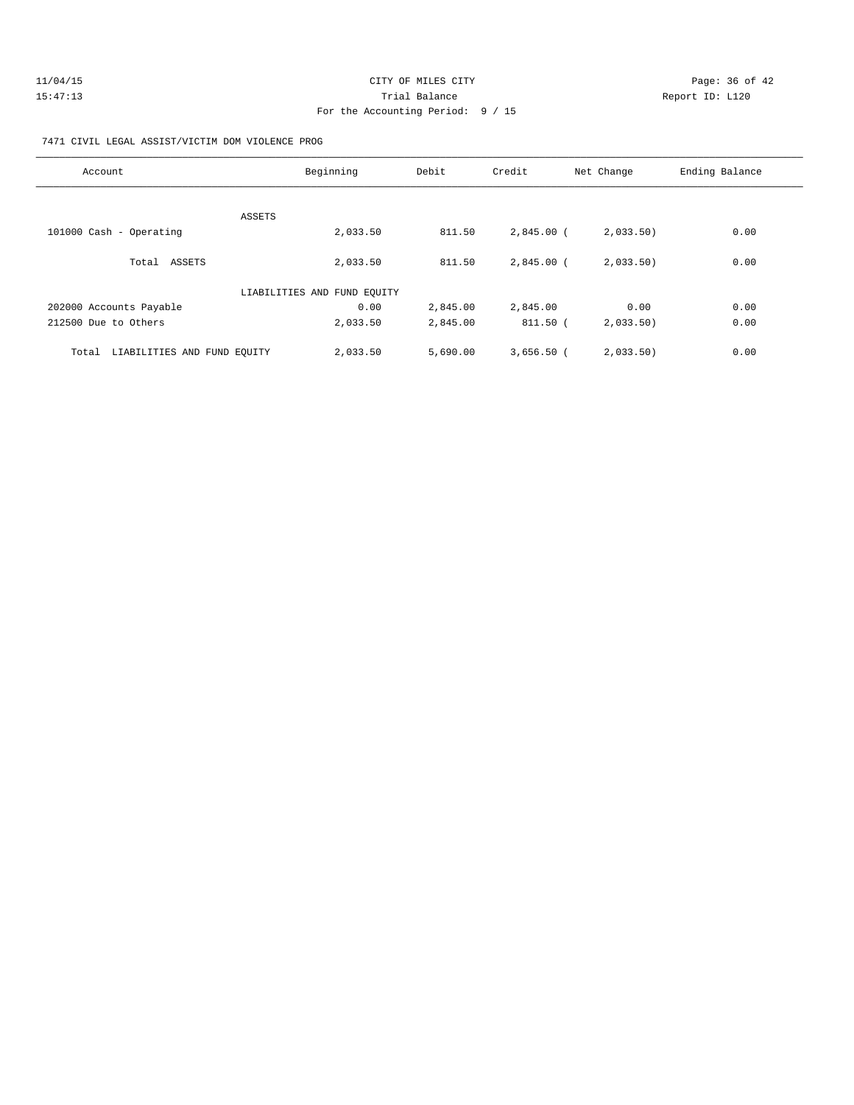| 11/04/15 | CITY OF MILES CITY                | Page: 36 of 42  |  |
|----------|-----------------------------------|-----------------|--|
| 15:47:13 | Trial Balance                     | Report ID: L120 |  |
|          | For the Accounting Period: 9 / 15 |                 |  |

### 7471 CIVIL LEGAL ASSIST/VICTIM DOM VIOLENCE PROG

| Account                              | Beginning                   | Debit    | Credit       | Net Change | Ending Balance |
|--------------------------------------|-----------------------------|----------|--------------|------------|----------------|
| ASSETS                               |                             |          |              |            |                |
| 101000 Cash - Operating              | 2,033.50                    | 811.50   | $2,845.00$ ( | 2,033.50   | 0.00           |
| Total ASSETS                         | 2,033.50                    | 811.50   | $2,845.00$ ( | 2,033.50   | 0.00           |
|                                      | LIABILITIES AND FUND EQUITY |          |              |            |                |
| 202000 Accounts Payable              | 0.00                        | 2,845.00 | 2,845.00     | 0.00       | 0.00           |
| 212500 Due to Others                 | 2,033.50                    | 2,845.00 | $811.50$ (   | 2,033.50   | 0.00           |
| LIABILITIES AND FUND EQUITY<br>Total | 2,033.50                    | 5,690.00 | $3,656.50$ ( | 2,033.50)  | 0.00           |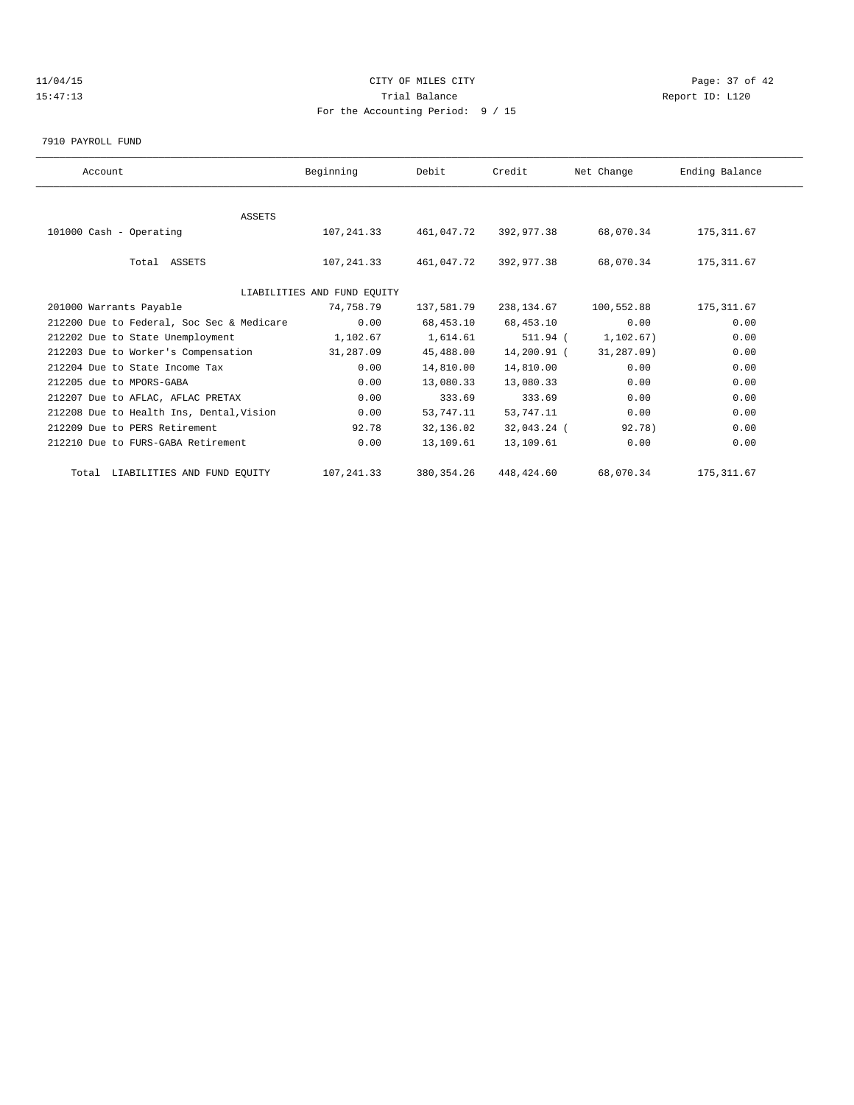# $11/04/15$  Page: 37 of 42 15:47:13 Trial Balance Report ID: L120 For the Accounting Period: 9 / 15

7910 PAYROLL FUND

| Account                                   | Beginning                   | Debit       | Credit      | Net Change | Ending Balance |  |
|-------------------------------------------|-----------------------------|-------------|-------------|------------|----------------|--|
|                                           |                             |             |             |            |                |  |
| <b>ASSETS</b>                             |                             |             |             |            |                |  |
| 101000 Cash - Operating                   | 107,241.33                  | 461,047.72  | 392,977.38  | 68,070.34  | 175, 311.67    |  |
|                                           |                             |             |             |            |                |  |
| Total ASSETS                              | 107,241.33                  | 461,047.72  | 392,977.38  | 68,070.34  | 175, 311.67    |  |
|                                           |                             |             |             |            |                |  |
|                                           | LIABILITIES AND FUND EQUITY |             |             |            |                |  |
| 201000 Warrants Payable                   | 74,758.79                   | 137,581.79  | 238,134.67  | 100,552.88 | 175, 311.67    |  |
| 212200 Due to Federal, Soc Sec & Medicare | 0.00                        | 68,453.10   | 68,453.10   | 0.00       | 0.00           |  |
| 212202 Due to State Unemployment          | 1,102.67                    | 1,614.61    | 511.94 (    | 1,102.67)  | 0.00           |  |
| 212203 Due to Worker's Compensation       | 31,287.09                   | 45,488.00   | 14,200.91 ( | 31,287.09) | 0.00           |  |
| 212204 Due to State Income Tax            | 0.00                        | 14,810.00   | 14,810.00   | 0.00       | 0.00           |  |
| 212205 due to MPORS-GABA                  | 0.00                        | 13,080.33   | 13,080.33   | 0.00       | 0.00           |  |
| 212207 Due to AFLAC, AFLAC PRETAX         | 0.00                        | 333.69      | 333.69      | 0.00       | 0.00           |  |
| 212208 Due to Health Ins, Dental, Vision  | 0.00                        | 53,747.11   | 53,747.11   | 0.00       | 0.00           |  |
| 212209 Due to PERS Retirement             | 92.78                       | 32,136.02   | 32,043.24 ( | 92.78)     | 0.00           |  |
| 212210 Due to FURS-GABA Retirement        | 0.00                        | 13,109.61   | 13,109.61   | 0.00       | 0.00           |  |
| Total LIABILITIES AND FUND EQUITY         | 107, 241.33                 | 380, 354.26 | 448,424.60  | 68,070.34  | 175, 311.67    |  |
|                                           |                             |             |             |            |                |  |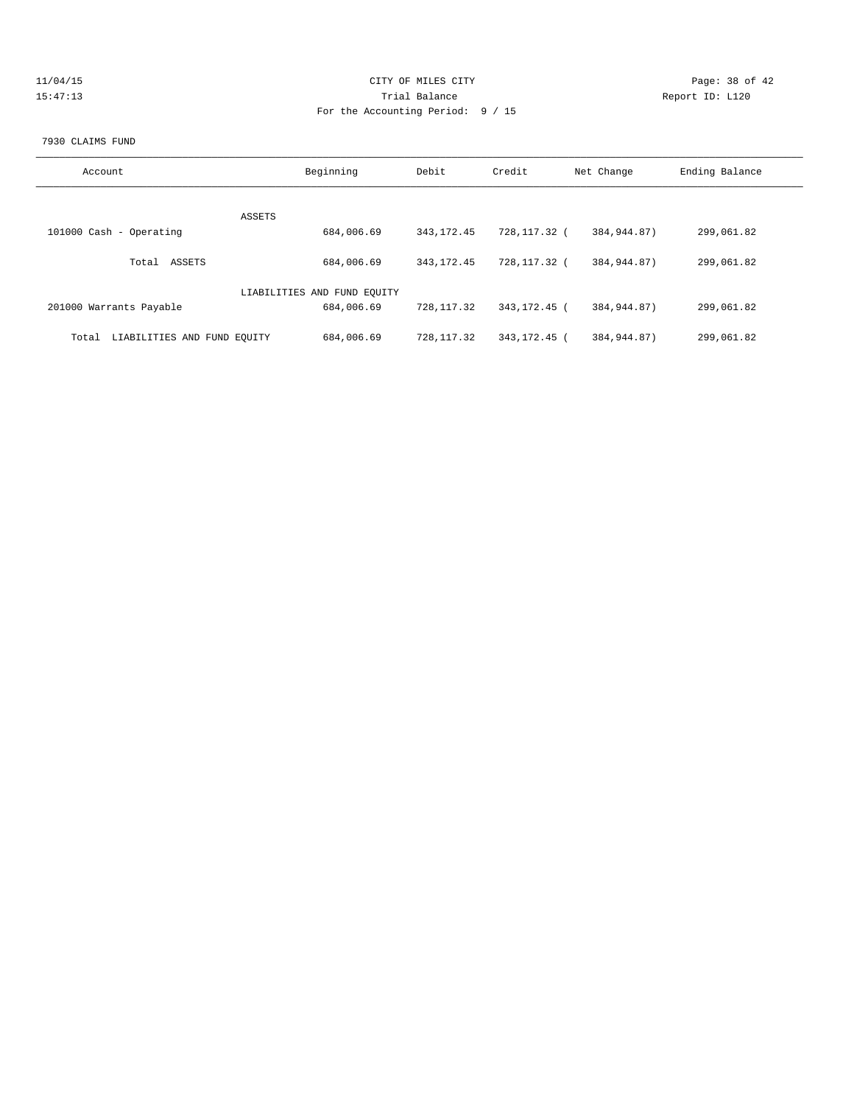| 11/04/15 | CITY OF MILES CITY                  | Page: 38 of 42  |
|----------|-------------------------------------|-----------------|
| 15:47:13 | Trial Balance                       | Report ID: L120 |
|          | For the Accounting Period: $9 / 15$ |                 |
|          |                                     |                 |

#### 7930 CLAIMS FUND

| Account                              | Beginning                   | Debit        | Credit         | Net Change    | Ending Balance |
|--------------------------------------|-----------------------------|--------------|----------------|---------------|----------------|
|                                      | ASSETS                      |              |                |               |                |
| 101000 Cash - Operating              | 684,006.69                  | 343, 172.45  | 728,117.32 (   | 384,944.87)   | 299,061.82     |
| ASSETS<br>Total                      | 684,006.69                  | 343, 172. 45 | 728,117.32 (   | 384,944.87)   | 299,061.82     |
|                                      | LIABILITIES AND FUND EOUITY |              |                |               |                |
| 201000 Warrants Payable              | 684,006.69                  | 728, 117.32  | 343, 172, 45 ( | 384,944.87)   | 299,061.82     |
| LIABILITIES AND FUND EQUITY<br>Total | 684,006.69                  | 728, 117.32  | 343, 172. 45 ( | 384, 944, 87) | 299,061.82     |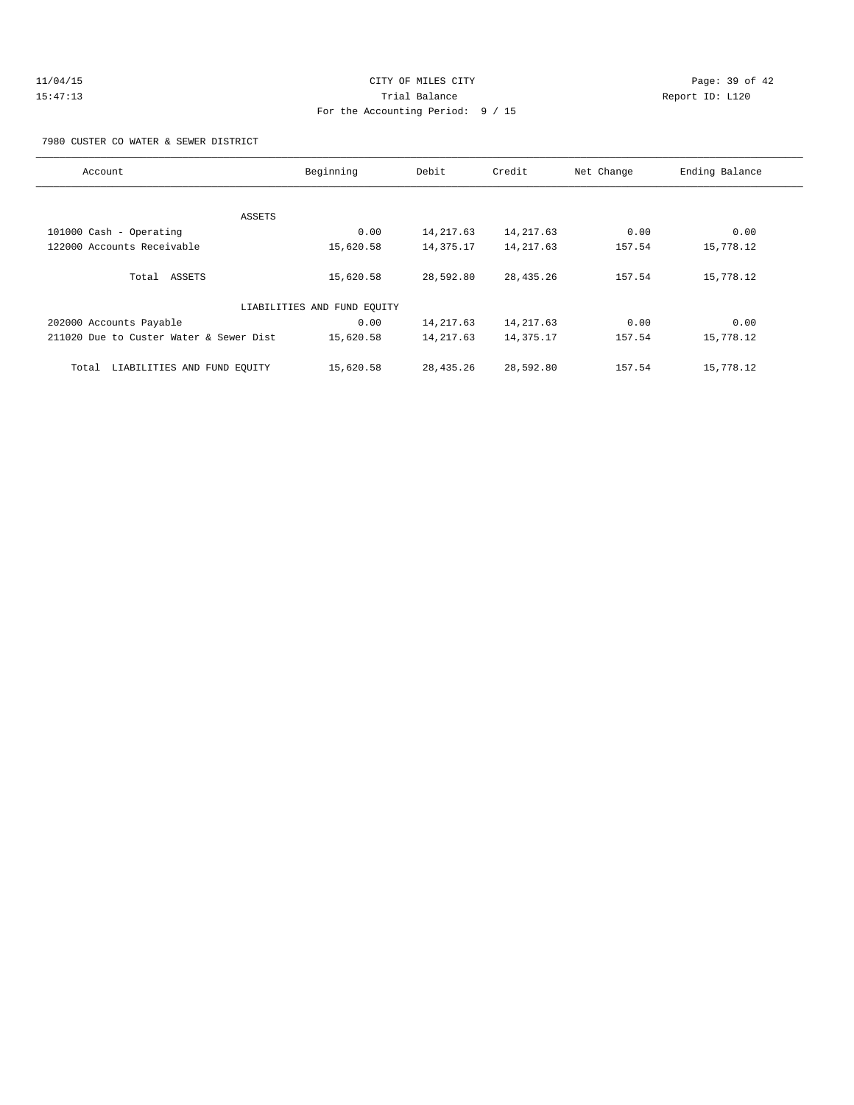7980 CUSTER CO WATER & SEWER DISTRICT

| Account                                 | Beginning | Debit       | Credit      | Net Change | Ending Balance |  |
|-----------------------------------------|-----------|-------------|-------------|------------|----------------|--|
|                                         |           |             |             |            |                |  |
|                                         |           |             |             |            |                |  |
| ASSETS                                  |           |             |             |            |                |  |
| 101000 Cash - Operating                 | 0.00      | 14, 217.63  | 14, 217.63  | 0.00       | 0.00           |  |
| 122000 Accounts Receivable              | 15,620.58 | 14,375.17   | 14, 217.63  | 157.54     | 15,778.12      |  |
|                                         |           |             |             |            |                |  |
| Total ASSETS                            | 15,620.58 | 28,592.80   | 28, 435. 26 | 157.54     | 15,778.12      |  |
|                                         |           |             |             |            |                |  |
| LIABILITIES AND FUND EQUITY             |           |             |             |            |                |  |
| 202000 Accounts Payable                 | 0.00      | 14, 217.63  | 14, 217.63  | 0.00       | 0.00           |  |
| 211020 Due to Custer Water & Sewer Dist | 15,620.58 | 14, 217.63  | 14,375.17   | 157.54     | 15,778.12      |  |
|                                         |           |             |             |            |                |  |
| LIABILITIES AND FUND EQUITY<br>Total    | 15,620.58 | 28, 435. 26 | 28,592.80   | 157.54     | 15,778.12      |  |
|                                         |           |             |             |            |                |  |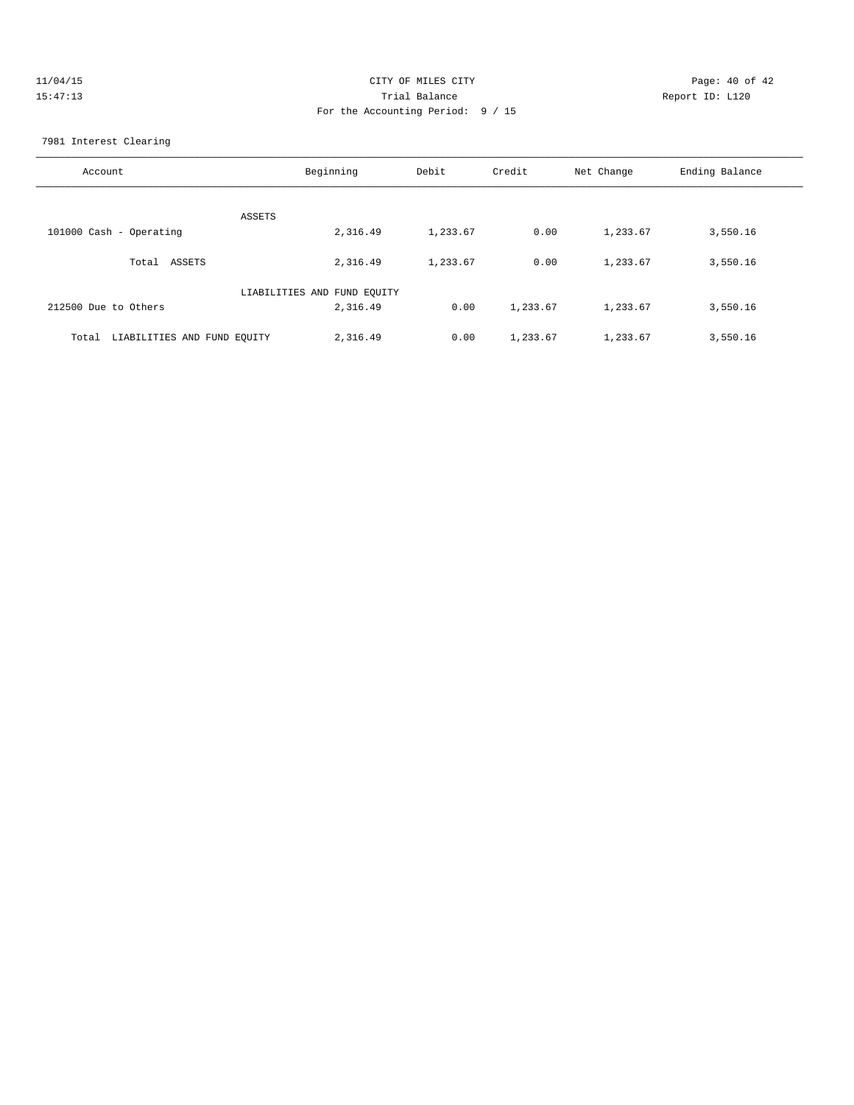| 11/04/15 | CITY OF MILES CITY                | Page: 40 of 42  |
|----------|-----------------------------------|-----------------|
| 15:47:13 | Trial Balance                     | Report ID: L120 |
|          | For the Accounting Period: 9 / 15 |                 |

7981 Interest Clearing

| Account                              | Beginning                   | Debit    | Credit   | Net Change | Ending Balance |
|--------------------------------------|-----------------------------|----------|----------|------------|----------------|
| ASSETS                               |                             |          |          |            |                |
| 101000 Cash - Operating              | 2,316.49                    | 1,233.67 | 0.00     | 1,233.67   | 3,550.16       |
| Total ASSETS                         | 2,316.49                    | 1,233.67 | 0.00     | 1,233.67   | 3,550.16       |
|                                      | LIABILITIES AND FUND EQUITY |          |          |            |                |
| 212500 Due to Others                 | 2,316.49                    | 0.00     | 1,233.67 | 1,233.67   | 3,550.16       |
| LIABILITIES AND FUND EQUITY<br>Total | 2,316.49                    | 0.00     | 1,233.67 | 1,233.67   | 3,550.16       |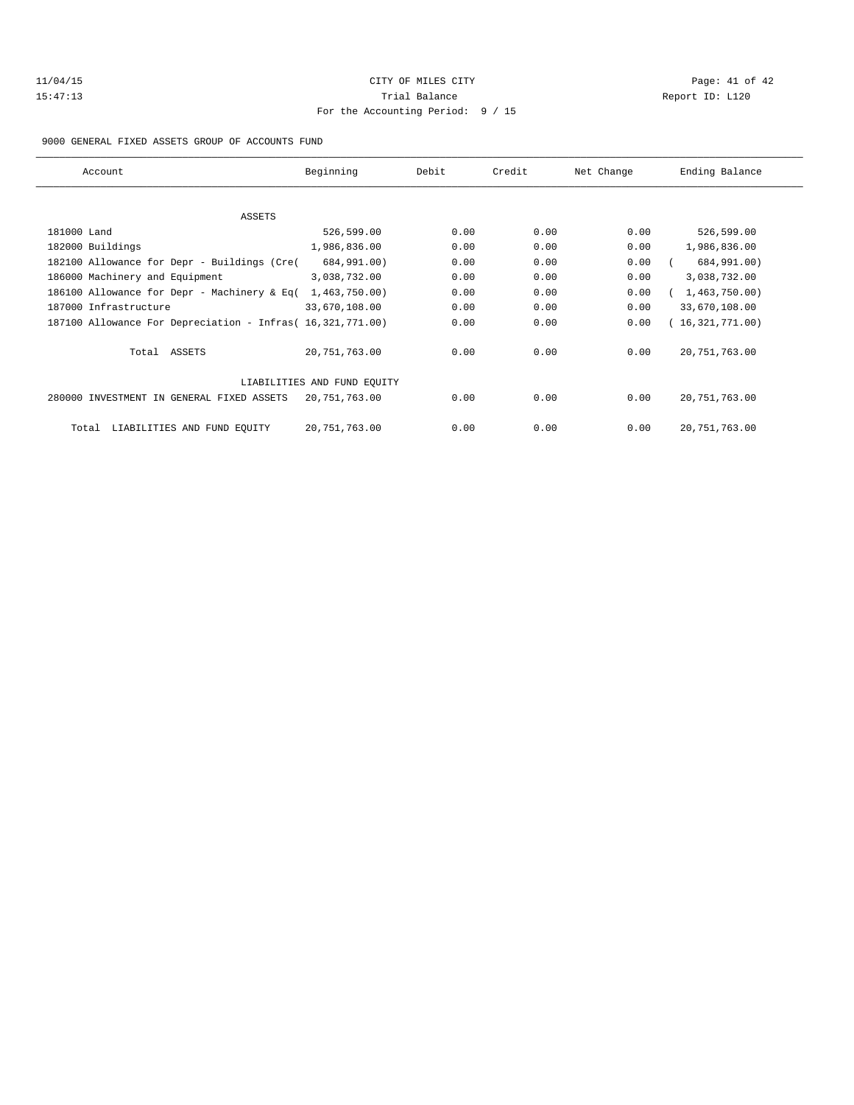| 11/04/15 |  |
|----------|--|
| 15:47:13 |  |

# CITY OF MILES CITY **Page: 41 of 42** Trial Balance and Trial Balance Report ID: L120 For the Accounting Period: 9 / 15

9000 GENERAL FIXED ASSETS GROUP OF ACCOUNTS FUND

| Account                                                    | Beginning                   | Debit | Credit | Net Change | Ending Balance  |
|------------------------------------------------------------|-----------------------------|-------|--------|------------|-----------------|
|                                                            |                             |       |        |            |                 |
| ASSETS                                                     |                             |       |        |            |                 |
| 181000 Land                                                | 526,599.00                  | 0.00  | 0.00   | 0.00       | 526,599.00      |
| 182000 Buildings                                           | 1,986,836.00                | 0.00  | 0.00   | 0.00       | 1,986,836.00    |
| 182100 Allowance for Depr - Buildings (Cre(                | 684,991.00)                 | 0.00  | 0.00   | 0.00       | 684,991.00)     |
| 186000 Machinery and Equipment                             | 3,038,732.00                | 0.00  | 0.00   | 0.00       | 3,038,732.00    |
| 186100 Allowance for Depr - Machinery & Eq(                | 1,463,750.00)               | 0.00  | 0.00   | 0.00       | 1,463,750.00    |
| 187000 Infrastructure                                      | 33,670,108.00               | 0.00  | 0.00   | 0.00       | 33,670,108.00   |
| 187100 Allowance For Depreciation - Infras (16,321,771.00) |                             | 0.00  | 0.00   | 0.00       | 16,321,771.00)  |
| Total ASSETS                                               | 20,751,763.00               | 0.00  | 0.00   | 0.00       | 20, 751, 763.00 |
|                                                            | LIABILITIES AND FUND EQUITY |       |        |            |                 |
| 280000 INVESTMENT IN GENERAL FIXED ASSETS                  | 20,751,763.00               | 0.00  | 0.00   | 0.00       | 20, 751, 763.00 |
| LIABILITIES AND FUND EQUITY<br>Total                       | 20,751,763.00               | 0.00  | 0.00   | 0.00       | 20, 751, 763.00 |